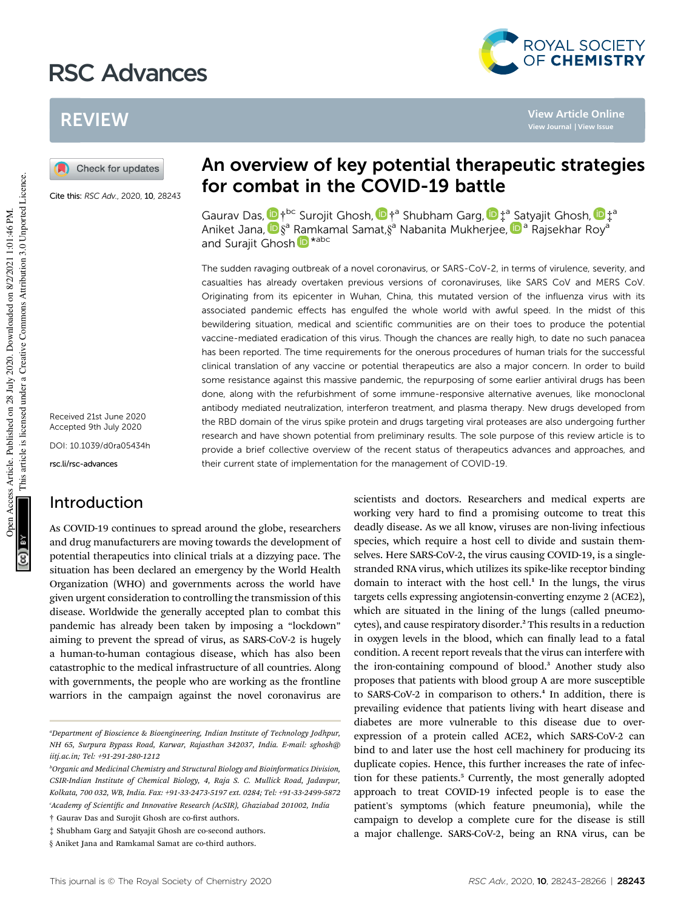# RSC Advances



**View Article Online**

## REVIEW

Check for updates

Cite this: RSC Adv., 2020, 10, 28243

Received 21st June 2020 Accepted 9th July 2020

DOI: 10.1039/d0ra05434h

rsc.li/rsc-advances

### Introduction

As COVID-19 continues to spread around the globe, researchers and drug manufacturers are moving towards the development of potential therapeutics into clinical trials at a dizzying pace. The situation has been declared an emergency by the World Health Organization (WHO) and governments across the world have given urgent consideration to controlling the transmission of this disease. Worldwide the generally accepted plan to combat this pandemic has already been taken by imposing a "lockdown" aiming to prevent the spread of virus, as SARS-CoV-2 is hugely a human-to-human contagious disease, which has also been catastrophic to the medical infrastructure of all countries. Along with governments, the people who are working as the frontline warriors in the campaign against the novel coronavirus are

## An overview of key potential therapeutic strategies for combat in the COVID-19 battle

Gaurav Das,  $\Phi$  †<sup>bc</sup> Surojit Ghosh,  $\Phi$  †<sup>a</sup> Shubham Garg,  $\Phi$  ‡<sup>a</sup> Satyajit Ghosh,  $\Phi$  ‡<sup>a</sup> Aniket Jana, D§ª Ramkamal Samat,§ª Nabanita Mukherjee, Dª Rajsekhar Royª and Surajit Ghosh D<sup>\*abc</sup>

The sudden ravaging outbreak of a novel coronavirus, or SARS-CoV-2, in terms of virulence, severity, and casualties has already overtaken previous versions of coronaviruses, like SARS CoV and MERS CoV. Originating from its epicenter in Wuhan, China, this mutated version of the influenza virus with its associated pandemic effects has engulfed the whole world with awful speed. In the midst of this bewildering situation, medical and scientific communities are on their toes to produce the potential vaccine-mediated eradication of this virus. Though the chances are really high, to date no such panacea has been reported. The time requirements for the onerous procedures of human trials for the successful clinical translation of any vaccine or potential therapeutics are also a major concern. In order to build some resistance against this massive pandemic, the repurposing of some earlier antiviral drugs has been done, along with the refurbishment of some immune-responsive alternative avenues, like monoclonal antibody mediated neutralization, interferon treatment, and plasma therapy. New drugs developed from the RBD domain of the virus spike protein and drugs targeting viral proteases are also undergoing further research and have shown potential from preliminary results. The sole purpose of this review article is to provide a brief collective overview of the recent status of therapeutics advances and approaches, and their current state of implementation for the management of COVID-19.

> scientists and doctors. Researchers and medical experts are working very hard to find a promising outcome to treat this deadly disease. As we all know, viruses are non-living infectious species, which require a host cell to divide and sustain themselves. Here SARS-CoV-2, the virus causing COVID-19, is a singlestranded RNA virus, which utilizes its spike-like receptor binding domain to interact with the host cell.<sup>1</sup> In the lungs, the virus targets cells expressing angiotensin-converting enzyme 2 (ACE2), which are situated in the lining of the lungs (called pneumocytes), and cause respiratory disorder.<sup>2</sup> This results in a reduction in oxygen levels in the blood, which can finally lead to a fatal condition. A recent report reveals that the virus can interfere with the iron-containing compound of blood.<sup>3</sup> Another study also proposes that patients with blood group A are more susceptible to SARS-CoV-2 in comparison to others.<sup>4</sup> In addition, there is prevailing evidence that patients living with heart disease and diabetes are more vulnerable to this disease due to overexpression of a protein called ACE2, which SARS-CoV-2 can bind to and later use the host cell machinery for producing its duplicate copies. Hence, this further increases the rate of infection for these patients.<sup>5</sup> Currently, the most generally adopted approach to treat COVID-19 infected people is to ease the patient's symptoms (which feature pneumonia), while the campaign to develop a complete cure for the disease is still a major challenge. SARS-CoV-2, being an RNA virus, can be

*<sup>a</sup>Department of Bioscience & Bioengineering, Indian Institute of Technology Jodhpur, NH 65, Surpura Bypass Road, Karwar, Rajasthan 342037, India. E-mail: sghosh@ iitj.ac.in; Tel: +91-291-280-1212*

*<sup>b</sup>Organic and Medicinal Chemistry and Structural Biology and Bioinformatics Division, CSIR-Indian Institute of Chemical Biology, 4, Raja S. C. Mullick Road, Jadavpur, Kolkata, 700 032, WB, India. Fax: +91-33-2473-5197 ext. 0284; Tel: +91-33-2499-5872 <sup>c</sup>Academy of Scientic and Innovative Research (AcSIR), Ghaziabad 201002, India*

 $\dagger$  Gaurav Das and Surojit Ghosh are co-first authors.

<sup>‡</sup> Shubham Garg and Satyajit Ghosh are co-second authors.

<sup>§</sup> Aniket Jana and Ramkamal Samat are co-third authors.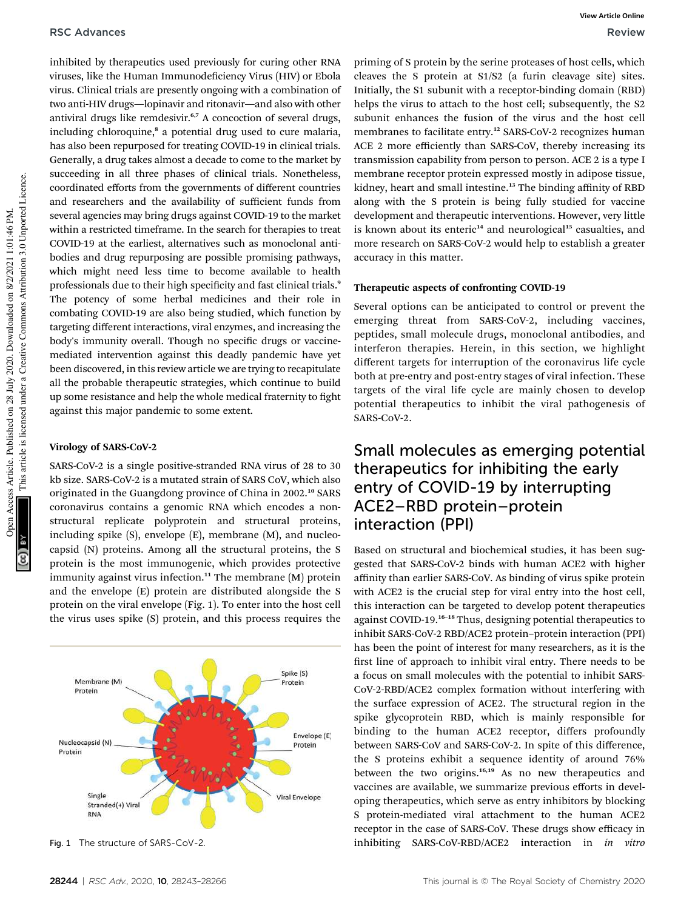inhibited by therapeutics used previously for curing other RNA viruses, like the Human Immunodeficiency Virus (HIV) or Ebola virus. Clinical trials are presently ongoing with a combination of two anti-HIV drugs—lopinavir and ritonavir—and also with other antiviral drugs like remdesivir.<sup>6,7</sup> A concoction of several drugs, including chloroquine,<sup>8</sup> a potential drug used to cure malaria, has also been repurposed for treating COVID-19 in clinical trials. Generally, a drug takes almost a decade to come to the market by succeeding in all three phases of clinical trials. Nonetheless, coordinated efforts from the governments of different countries and researchers and the availability of sufficient funds from several agencies may bring drugs against COVID-19 to the market within a restricted timeframe. In the search for therapies to treat COVID-19 at the earliest, alternatives such as monoclonal antibodies and drug repurposing are possible promising pathways, which might need less time to become available to health professionals due to their high specificity and fast clinical trials.<sup>9</sup> The potency of some herbal medicines and their role in combating COVID-19 are also being studied, which function by targeting different interactions, viral enzymes, and increasing the body's immunity overall. Though no specific drugs or vaccinemediated intervention against this deadly pandemic have yet been discovered, in this review article we are trying to recapitulate all the probable therapeutic strategies, which continue to build up some resistance and help the whole medical fraternity to fight against this major pandemic to some extent.

#### Virology of SARS-CoV-2

SARS-CoV-2 is a single positive-stranded RNA virus of 28 to 30 kb size. SARS-CoV-2 is a mutated strain of SARS CoV, which also originated in the Guangdong province of China in 2002.<sup>10</sup> SARS coronavirus contains a genomic RNA which encodes a nonstructural replicate polyprotein and structural proteins, including spike (S), envelope (E), membrane (M), and nucleocapsid (N) proteins. Among all the structural proteins, the S protein is the most immunogenic, which provides protective immunity against virus infection.<sup>11</sup> The membrane  $(M)$  protein and the envelope (E) protein are distributed alongside the S protein on the viral envelope (Fig. 1). To enter into the host cell the virus uses spike (S) protein, and this process requires the



priming of S protein by the serine proteases of host cells, which cleaves the S protein at S1/S2 (a furin cleavage site) sites. Initially, the S1 subunit with a receptor-binding domain (RBD) helps the virus to attach to the host cell; subsequently, the S2 subunit enhances the fusion of the virus and the host cell membranes to facilitate entry.<sup>12</sup> SARS-CoV-2 recognizes human ACE 2 more efficiently than SARS-CoV, thereby increasing its transmission capability from person to person. ACE 2 is a type I membrane receptor protein expressed mostly in adipose tissue, kidney, heart and small intestine.<sup>13</sup> The binding affinity of RBD along with the S protein is being fully studied for vaccine development and therapeutic interventions. However, very little is known about its enteric $14$  and neurological $15$  casualties, and more research on SARS-CoV-2 would help to establish a greater accuracy in this matter.

#### Therapeutic aspects of confronting COVID-19

Several options can be anticipated to control or prevent the emerging threat from SARS-CoV-2, including vaccines, peptides, small molecule drugs, monoclonal antibodies, and interferon therapies. Herein, in this section, we highlight different targets for interruption of the coronavirus life cycle both at pre-entry and post-entry stages of viral infection. These targets of the viral life cycle are mainly chosen to develop potential therapeutics to inhibit the viral pathogenesis of SARS-CoV-2.

### Small molecules as emerging potential therapeutics for inhibiting the early entry of COVID-19 by interrupting ACE2–RBD protein–protein interaction (PPI)

Based on structural and biochemical studies, it has been suggested that SARS-CoV-2 binds with human ACE2 with higher affinity than earlier SARS-CoV. As binding of virus spike protein with ACE2 is the crucial step for viral entry into the host cell, this interaction can be targeted to develop potent therapeutics against COVID-19.<sup>16</sup>–<sup>18</sup> Thus, designing potential therapeutics to inhibit SARS-CoV-2 RBD/ACE2 protein–protein interaction (PPI) has been the point of interest for many researchers, as it is the first line of approach to inhibit viral entry. There needs to be a focus on small molecules with the potential to inhibit SARS-CoV-2-RBD/ACE2 complex formation without interfering with the surface expression of ACE2. The structural region in the spike glycoprotein RBD, which is mainly responsible for binding to the human ACE2 receptor, differs profoundly between SARS-CoV and SARS-CoV-2. In spite of this difference, the S proteins exhibit a sequence identity of around 76% between the two origins.<sup>16,19</sup> As no new therapeutics and vaccines are available, we summarize previous efforts in developing therapeutics, which serve as entry inhibitors by blocking S protein-mediated viral attachment to the human ACE2 receptor in the case of SARS-CoV. These drugs show efficacy in Fig. 1 The structure of SARS-CoV-2. inhibiting SARS-CoV-RBD/ACE2 interaction in *in vitro*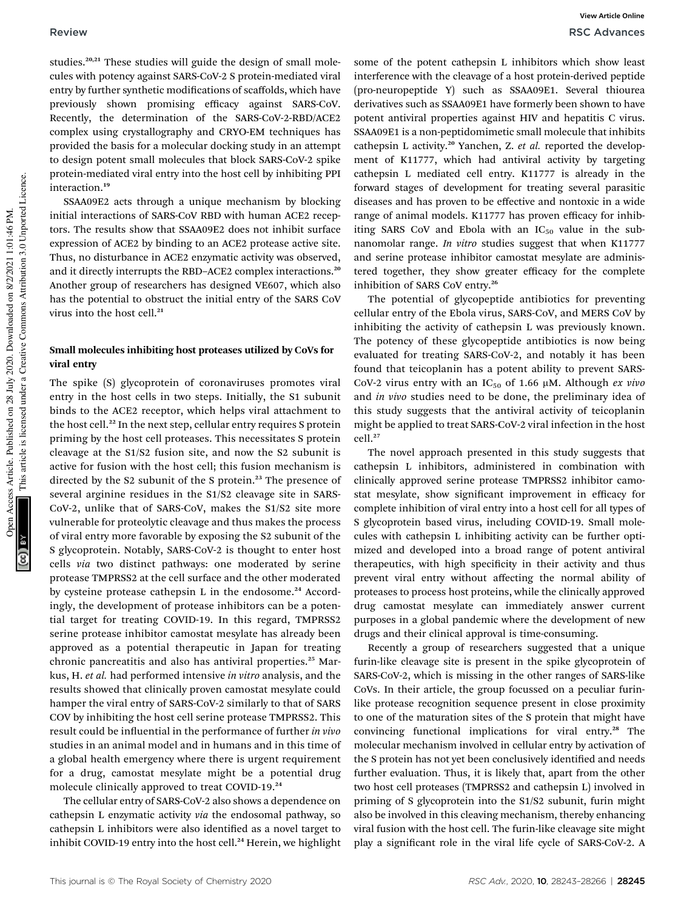studies.<sup>20,21</sup> These studies will guide the design of small molecules with potency against SARS-CoV-2 S protein-mediated viral entry by further synthetic modifications of scaffolds, which have previously shown promising efficacy against SARS-CoV. Recently, the determination of the SARS-CoV-2-RBD/ACE2 complex using crystallography and CRYO-EM techniques has provided the basis for a molecular docking study in an attempt to design potent small molecules that block SARS-CoV-2 spike protein-mediated viral entry into the host cell by inhibiting PPI interaction.<sup>19</sup>

SSAA09E2 acts through a unique mechanism by blocking initial interactions of SARS-CoV RBD with human ACE2 receptors. The results show that SSAA09E2 does not inhibit surface expression of ACE2 by binding to an ACE2 protease active site. Thus, no disturbance in ACE2 enzymatic activity was observed, and it directly interrupts the RBD-ACE2 complex interactions.<sup>20</sup> Another group of researchers has designed VE607, which also has the potential to obstruct the initial entry of the SARS CoV virus into the host cell.<sup>21</sup>

#### Small molecules inhibiting host proteases utilized by CoVs for viral entry

The spike (S) glycoprotein of coronaviruses promotes viral entry in the host cells in two steps. Initially, the S1 subunit binds to the ACE2 receptor, which helps viral attachment to the host cell.<sup>22</sup> In the next step, cellular entry requires S protein priming by the host cell proteases. This necessitates S protein cleavage at the S1/S2 fusion site, and now the S2 subunit is active for fusion with the host cell; this fusion mechanism is directed by the S2 subunit of the S protein.<sup>23</sup> The presence of several arginine residues in the S1/S2 cleavage site in SARS-CoV-2, unlike that of SARS-CoV, makes the S1/S2 site more vulnerable for proteolytic cleavage and thus makes the process of viral entry more favorable by exposing the S2 subunit of the S glycoprotein. Notably, SARS-CoV-2 is thought to enter host cells *via* two distinct pathways: one moderated by serine protease TMPRSS2 at the cell surface and the other moderated by cysteine protease cathepsin L in the endosome.<sup>24</sup> Accordingly, the development of protease inhibitors can be a potential target for treating COVID-19. In this regard, TMPRSS2 serine protease inhibitor camostat mesylate has already been approved as a potential therapeutic in Japan for treating chronic pancreatitis and also has antiviral properties.<sup>25</sup> Markus, H. *et al.* had performed intensive *in vitro* analysis, and the results showed that clinically proven camostat mesylate could hamper the viral entry of SARS-CoV-2 similarly to that of SARS COV by inhibiting the host cell serine protease TMPRSS2. This result could be influential in the performance of further *in vivo* studies in an animal model and in humans and in this time of a global health emergency where there is urgent requirement for a drug, camostat mesylate might be a potential drug molecule clinically approved to treat COVID-19.<sup>24</sup>

The cellular entry of SARS-CoV-2 also shows a dependence on cathepsin L enzymatic activity *via* the endosomal pathway, so cathepsin L inhibitors were also identified as a novel target to inhibit COVID-19 entry into the host cell.<sup>24</sup> Herein, we highlight

some of the potent cathepsin L inhibitors which show least interference with the cleavage of a host protein-derived peptide (pro-neuropeptide Y) such as SSAA09E1. Several thiourea derivatives such as SSAA09E1 have formerly been shown to have potent antiviral properties against HIV and hepatitis C virus. SSAA09E1 is a non-peptidomimetic small molecule that inhibits cathepsin L activity.<sup>20</sup> Yanchen, Z. et al. reported the development of K11777, which had antiviral activity by targeting cathepsin L mediated cell entry. K11777 is already in the forward stages of development for treating several parasitic diseases and has proven to be effective and nontoxic in a wide range of animal models. K11777 has proven efficacy for inhibiting SARS CoV and Ebola with an  $IC_{50}$  value in the subnanomolar range. *In vitro* studies suggest that when K11777 and serine protease inhibitor camostat mesylate are administered together, they show greater efficacy for the complete inhibition of SARS CoV entry.<sup>26</sup>

The potential of glycopeptide antibiotics for preventing cellular entry of the Ebola virus, SARS-CoV, and MERS CoV by inhibiting the activity of cathepsin L was previously known. The potency of these glycopeptide antibiotics is now being evaluated for treating SARS-CoV-2, and notably it has been found that teicoplanin has a potent ability to prevent SARS-CoV-2 virus entry with an IC<sub>50</sub> of 1.66 μM. Although *ex vivo* and *in vivo* studies need to be done, the preliminary idea of this study suggests that the antiviral activity of teicoplanin might be applied to treat SARS-CoV-2 viral infection in the host cell.<sup>27</sup>

The novel approach presented in this study suggests that cathepsin L inhibitors, administered in combination with clinically approved serine protease TMPRSS2 inhibitor camostat mesylate, show significant improvement in efficacy for complete inhibition of viral entry into a host cell for all types of S glycoprotein based virus, including COVID-19. Small molecules with cathepsin L inhibiting activity can be further optimized and developed into a broad range of potent antiviral therapeutics, with high specificity in their activity and thus prevent viral entry without affecting the normal ability of proteases to process host proteins, while the clinically approved drug camostat mesylate can immediately answer current purposes in a global pandemic where the development of new drugs and their clinical approval is time-consuming.

Recently a group of researchers suggested that a unique furin-like cleavage site is present in the spike glycoprotein of SARS-CoV-2, which is missing in the other ranges of SARS-like CoVs. In their article, the group focussed on a peculiar furinlike protease recognition sequence present in close proximity to one of the maturation sites of the S protein that might have convincing functional implications for viral entry.<sup>28</sup> The molecular mechanism involved in cellular entry by activation of the S protein has not yet been conclusively identified and needs further evaluation. Thus, it is likely that, apart from the other two host cell proteases (TMPRSS2 and cathepsin L) involved in priming of S glycoprotein into the S1/S2 subunit, furin might also be involved in this cleaving mechanism, thereby enhancing viral fusion with the host cell. The furin-like cleavage site might play a signicant role in the viral life cycle of SARS-CoV-2. A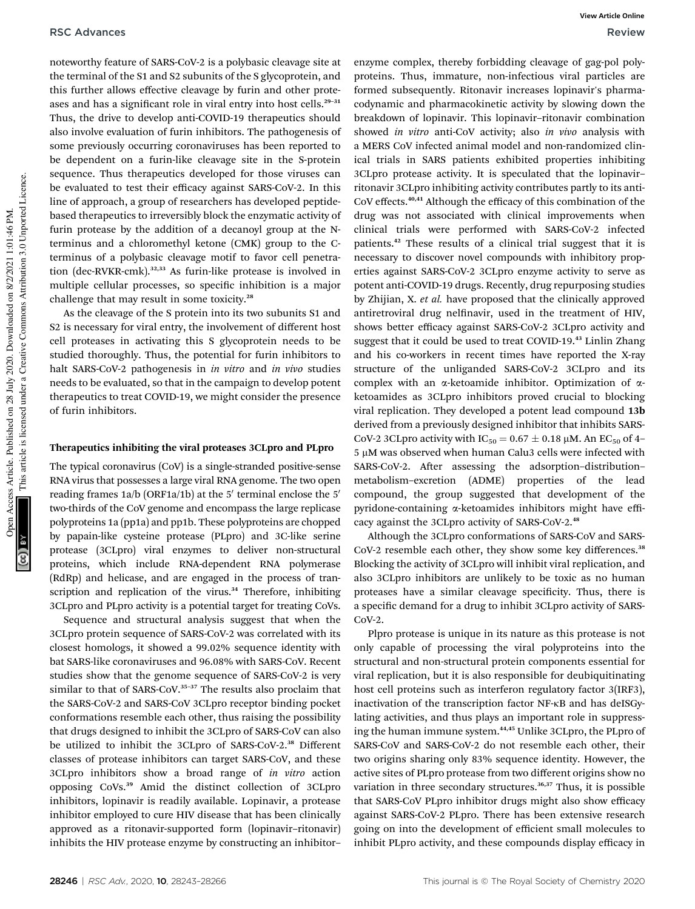noteworthy feature of SARS-CoV-2 is a polybasic cleavage site at the terminal of the S1 and S2 subunits of the S glycoprotein, and this further allows effective cleavage by furin and other proteases and has a significant role in viral entry into host cells.<sup>29-31</sup> Thus, the drive to develop anti-COVID-19 therapeutics should also involve evaluation of furin inhibitors. The pathogenesis of some previously occurring coronaviruses has been reported to be dependent on a furin-like cleavage site in the S-protein sequence. Thus therapeutics developed for those viruses can be evaluated to test their efficacy against SARS-CoV-2. In this line of approach, a group of researchers has developed peptidebased therapeutics to irreversibly block the enzymatic activity of furin protease by the addition of a decanoyl group at the Nterminus and a chloromethyl ketone (CMK) group to the Cterminus of a polybasic cleavage motif to favor cell penetration (dec-RVKR-cmk).32,33 As furin-like protease is involved in multiple cellular processes, so specific inhibition is a major challenge that may result in some toxicity.<sup>28</sup>

As the cleavage of the S protein into its two subunits S1 and S2 is necessary for viral entry, the involvement of different host cell proteases in activating this S glycoprotein needs to be studied thoroughly. Thus, the potential for furin inhibitors to halt SARS-CoV-2 pathogenesis in *in vitro* and *in vivo* studies needs to be evaluated, so that in the campaign to develop potent therapeutics to treat COVID-19, we might consider the presence of furin inhibitors.

#### Therapeutics inhibiting the viral proteases 3CLpro and PLpro

The typical coronavirus (CoV) is a single-stranded positive-sense RNA virus that possesses a large viral RNA genome. The two open reading frames 1a/b (ORF1a/1b) at the 5' terminal enclose the 5' two-thirds of the CoV genome and encompass the large replicase polyproteins 1a (pp1a) and pp1b. These polyproteins are chopped by papain-like cysteine protease (PLpro) and 3C-like serine protease (3CLpro) viral enzymes to deliver non-structural proteins, which include RNA-dependent RNA polymerase (RdRp) and helicase, and are engaged in the process of transcription and replication of the virus.<sup>34</sup> Therefore, inhibiting 3CLpro and PLpro activity is a potential target for treating CoVs.

Sequence and structural analysis suggest that when the 3CLpro protein sequence of SARS-CoV-2 was correlated with its closest homologs, it showed a 99.02% sequence identity with bat SARS-like coronaviruses and 96.08% with SARS-CoV. Recent studies show that the genome sequence of SARS-CoV-2 is very similar to that of SARS-CoV.<sup>35-37</sup> The results also proclaim that the SARS-CoV-2 and SARS-CoV 3CLpro receptor binding pocket conformations resemble each other, thus raising the possibility that drugs designed to inhibit the 3CLpro of SARS-CoV can also be utilized to inhibit the 3CLpro of SARS-CoV-2.<sup>38</sup> Different classes of protease inhibitors can target SARS-CoV, and these 3CLpro inhibitors show a broad range of *in vitro* action opposing CoVs.<sup>39</sup> Amid the distinct collection of 3CLpro inhibitors, lopinavir is readily available. Lopinavir, a protease inhibitor employed to cure HIV disease that has been clinically approved as a ritonavir-supported form (lopinavir–ritonavir) inhibits the HIV protease enzyme by constructing an inhibitor–

This article is licensed under a Creative Commons Attribution 3.0 Unported Licence. This article is licensed under a Creative Commons Attribution 3.0 Unported Licence. Open Access Article. Published on 28 July 2020. Downloaded on 8/2/2021 1:01:46 PM. Access Article. Published on 28 July 2020. Downloaded on 8/2/2021 1:01:46 PM

enzyme complex, thereby forbidding cleavage of gag-pol polyproteins. Thus, immature, non-infectious viral particles are formed subsequently. Ritonavir increases lopinavir's pharmacodynamic and pharmacokinetic activity by slowing down the breakdown of lopinavir. This lopinavir–ritonavir combination showed *in vitro* anti-CoV activity; also *in vivo* analysis with a MERS CoV infected animal model and non-randomized clinical trials in SARS patients exhibited properties inhibiting 3CLpro protease activity. It is speculated that the lopinavir– ritonavir 3CLpro inhibiting activity contributes partly to its anti-CoV effects.40,41 Although the efficacy of this combination of the drug was not associated with clinical improvements when clinical trials were performed with SARS-CoV-2 infected patients.<sup>42</sup> These results of a clinical trial suggest that it is necessary to discover novel compounds with inhibitory properties against SARS-CoV-2 3CLpro enzyme activity to serve as potent anti-COVID-19 drugs. Recently, drug repurposing studies by Zhijian, X. *et al.* have proposed that the clinically approved antiretroviral drug nelfinavir, used in the treatment of HIV, shows better efficacy against SARS-CoV-2 3CLpro activity and suggest that it could be used to treat COVID-19.<sup>43</sup> Linlin Zhang and his co-workers in recent times have reported the X-ray structure of the unliganded SARS-CoV-2 3CLpro and its complex with an  $\alpha$ -ketoamide inhibitor. Optimization of  $\alpha$ ketoamides as 3CLpro inhibitors proved crucial to blocking viral replication. They developed a potent lead compound 13b derived from a previously designed inhibitor that inhibits SARS-CoV-2 3CLpro activity with  $IC_{50} = 0.67 \pm 0.18 \ \mu M$ . An  $EC_{50}$  of 4- $5 \mu$ M was observed when human Calu3 cells were infected with SARS-CoV-2. After assessing the adsorption-distributionmetabolism–excretion (ADME) properties of the lead compound, the group suggested that development of the pyridone-containing a-ketoamides inhibitors might have efficacy against the 3CLpro activity of SARS-CoV-2.<sup>48</sup>

Although the 3CLpro conformations of SARS-CoV and SARS-CoV-2 resemble each other, they show some key differences.<sup>38</sup> Blocking the activity of 3CLpro will inhibit viral replication, and also 3CLpro inhibitors are unlikely to be toxic as no human proteases have a similar cleavage specificity. Thus, there is a specific demand for a drug to inhibit 3CLpro activity of SARS-CoV-2.

Plpro protease is unique in its nature as this protease is not only capable of processing the viral polyproteins into the structural and non-structural protein components essential for viral replication, but it is also responsible for deubiquitinating host cell proteins such as interferon regulatory factor 3(IRF3), inactivation of the transcription factor NF-kB and has deISGylating activities, and thus plays an important role in suppressing the human immune system.<sup>44,45</sup> Unlike 3CLpro, the PLpro of SARS-CoV and SARS-CoV-2 do not resemble each other, their two origins sharing only 83% sequence identity. However, the active sites of PLpro protease from two different origins show no variation in three secondary structures.<sup>36,37</sup> Thus, it is possible that SARS-CoV PLpro inhibitor drugs might also show efficacy against SARS-CoV-2 PLpro. There has been extensive research going on into the development of efficient small molecules to inhibit PLpro activity, and these compounds display efficacy in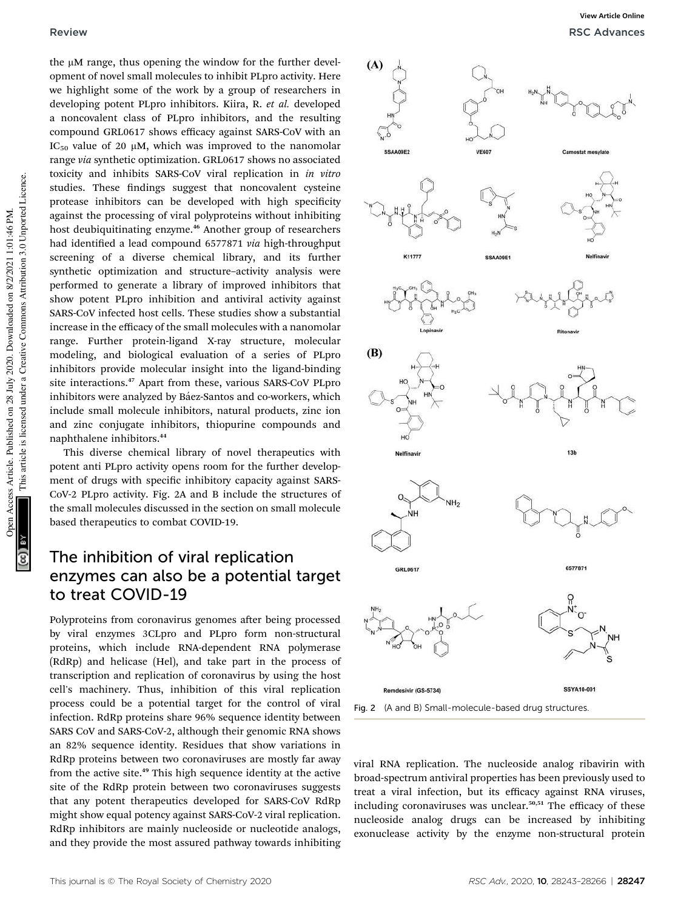the µM range, thus opening the window for the further development of novel small molecules to inhibit PLpro activity. Here we highlight some of the work by a group of researchers in developing potent PLpro inhibitors. Kiira, R. *et al.* developed a noncovalent class of PLpro inhibitors, and the resulting compound GRL0617 shows efficacy against SARS-CoV with an IC<sub>50</sub> value of 20  $\mu$ M, which was improved to the nanomolar range *via* synthetic optimization. GRL0617 shows no associated toxicity and inhibits SARS-CoV viral replication in *in vitro* studies. These findings suggest that noncovalent cysteine protease inhibitors can be developed with high specificity against the processing of viral polyproteins without inhibiting host deubiquitinating enzyme.<sup>46</sup> Another group of researchers had identified a lead compound 6577871 *via* high-throughput screening of a diverse chemical library, and its further synthetic optimization and structure–activity analysis were performed to generate a library of improved inhibitors that show potent PLpro inhibition and antiviral activity against SARS-CoV infected host cells. These studies show a substantial increase in the efficacy of the small molecules with a nanomolar range. Further protein-ligand X-ray structure, molecular modeling, and biological evaluation of a series of PLpro inhibitors provide molecular insight into the ligand-binding site interactions.<sup>47</sup> Apart from these, various SARS-CoV PLpro inhibitors were analyzed by Báez-Santos and co-workers, which include small molecule inhibitors, natural products, zinc ion and zinc conjugate inhibitors, thiopurine compounds and naphthalene inhibitors.<sup>44</sup>

This diverse chemical library of novel therapeutics with potent anti PLpro activity opens room for the further development of drugs with specific inhibitory capacity against SARS-CoV-2 PLpro activity. Fig. 2A and B include the structures of the small molecules discussed in the section on small molecule based therapeutics to combat COVID-19.

### The inhibition of viral replication enzymes can also be a potential target to treat COVID-19

Polyproteins from coronavirus genomes after being processed by viral enzymes 3CLpro and PLpro form non-structural proteins, which include RNA-dependent RNA polymerase (RdRp) and helicase (Hel), and take part in the process of transcription and replication of coronavirus by using the host cell's machinery. Thus, inhibition of this viral replication process could be a potential target for the control of viral infection. RdRp proteins share 96% sequence identity between SARS CoV and SARS-CoV-2, although their genomic RNA shows an 82% sequence identity. Residues that show variations in RdRp proteins between two coronaviruses are mostly far away from the active site.<sup>49</sup> This high sequence identity at the active site of the RdRp protein between two coronaviruses suggests that any potent therapeutics developed for SARS-CoV RdRp might show equal potency against SARS-CoV-2 viral replication. RdRp inhibitors are mainly nucleoside or nucleotide analogs, and they provide the most assured pathway towards inhibiting



Fig. 2 (A and B) Small-molecule-based drug structures.

viral RNA replication. The nucleoside analog ribavirin with broad-spectrum antiviral properties has been previously used to treat a viral infection, but its efficacy against RNA viruses, including coronaviruses was unclear.<sup>50,51</sup> The efficacy of these nucleoside analog drugs can be increased by inhibiting exonuclease activity by the enzyme non-structural protein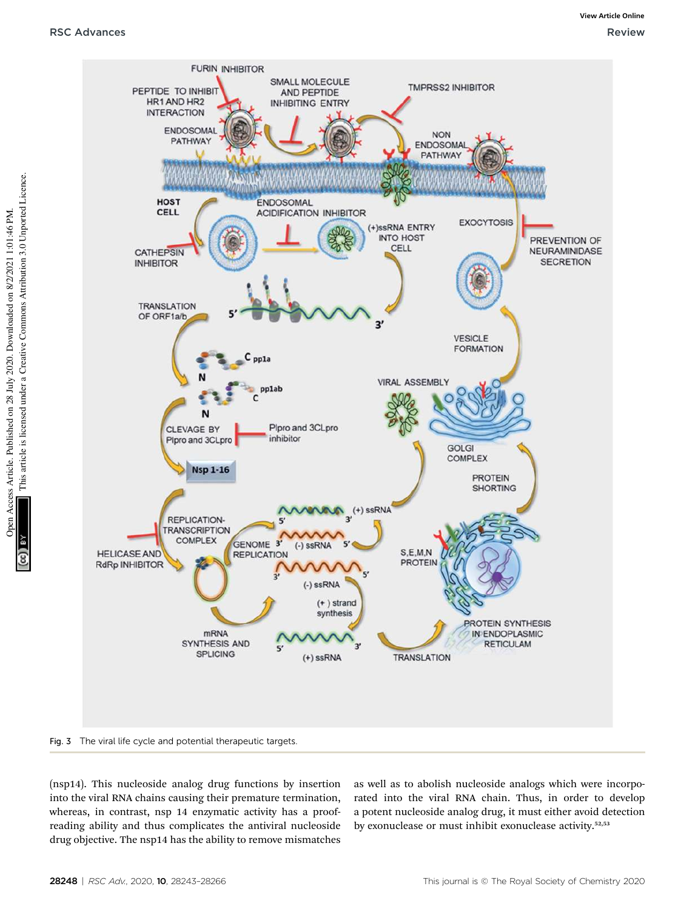

Fig. 3 The viral life cycle and potential therapeutic targets.

(nsp14). This nucleoside analog drug functions by insertion into the viral RNA chains causing their premature termination, whereas, in contrast, nsp 14 enzymatic activity has a proofreading ability and thus complicates the antiviral nucleoside drug objective. The nsp14 has the ability to remove mismatches

as well as to abolish nucleoside analogs which were incorporated into the viral RNA chain. Thus, in order to develop a potent nucleoside analog drug, it must either avoid detection by exonuclease or must inhibit exonuclease activity.<sup>52,53</sup>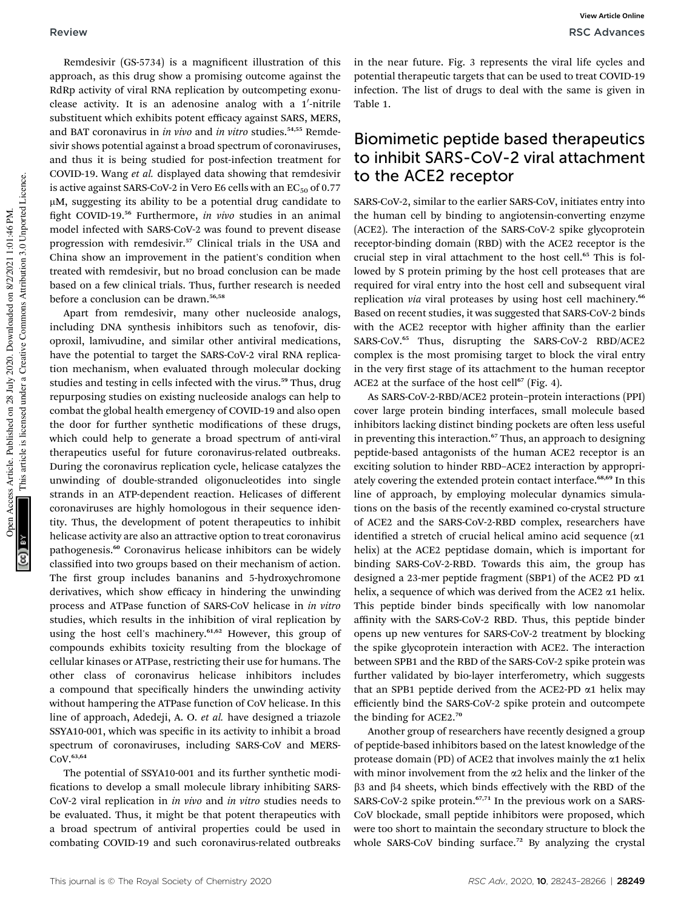Remdesivir (GS-5734) is a magnificent illustration of this approach, as this drug show a promising outcome against the RdRp activity of viral RNA replication by outcompeting exonuclease activity. It is an adenosine analog with a 1'-nitrile substituent which exhibits potent efficacy against SARS, MERS, and BAT coronavirus in *in vivo* and *in vitro* studies.<sup>54,55</sup> Remdesivir shows potential against a broad spectrum of coronaviruses, and thus it is being studied for post-infection treatment for COVID-19. Wang *et al.* displayed data showing that remdesivir is active against SARS-CoV-2 in Vero E6 cells with an  $EC_{50}$  of 0.77  $\mu$ M, suggesting its ability to be a potential drug candidate to fight COVID-19.<sup>56</sup> Furthermore, *in vivo* studies in an animal model infected with SARS-CoV-2 was found to prevent disease progression with remdesivir.<sup>57</sup> Clinical trials in the USA and China show an improvement in the patient's condition when treated with remdesivir, but no broad conclusion can be made based on a few clinical trials. Thus, further research is needed before a conclusion can be drawn.<sup>56,58</sup>

Apart from remdesivir, many other nucleoside analogs, including DNA synthesis inhibitors such as tenofovir, disoproxil, lamivudine, and similar other antiviral medications, have the potential to target the SARS-CoV-2 viral RNA replication mechanism, when evaluated through molecular docking studies and testing in cells infected with the virus.<sup>59</sup> Thus, drug repurposing studies on existing nucleoside analogs can help to combat the global health emergency of COVID-19 and also open the door for further synthetic modifications of these drugs, which could help to generate a broad spectrum of anti-viral therapeutics useful for future coronavirus-related outbreaks. During the coronavirus replication cycle, helicase catalyzes the unwinding of double-stranded oligonucleotides into single strands in an ATP-dependent reaction. Helicases of different coronaviruses are highly homologous in their sequence identity. Thus, the development of potent therapeutics to inhibit helicase activity are also an attractive option to treat coronavirus pathogenesis.<sup>60</sup> Coronavirus helicase inhibitors can be widely classified into two groups based on their mechanism of action. The first group includes bananins and 5-hydroxychromone derivatives, which show efficacy in hindering the unwinding process and ATPase function of SARS-CoV helicase in *in vitro* studies, which results in the inhibition of viral replication by using the host cell's machinery.<sup>61,62</sup> However, this group of compounds exhibits toxicity resulting from the blockage of cellular kinases or ATPase, restricting their use for humans. The other class of coronavirus helicase inhibitors includes a compound that specifically hinders the unwinding activity without hampering the ATPase function of CoV helicase. In this line of approach, Adedeji, A. O. *et al.* have designed a triazole SSYA10-001, which was specific in its activity to inhibit a broad spectrum of coronaviruses, including SARS-CoV and MERS-CoV.63,64

The potential of SSYA10-001 and its further synthetic modi fications to develop a small molecule library inhibiting SARS-CoV-2 viral replication in *in vivo* and *in vitro* studies needs to be evaluated. Thus, it might be that potent therapeutics with a broad spectrum of antiviral properties could be used in combating COVID-19 and such coronavirus-related outbreaks

in the near future. Fig. 3 represents the viral life cycles and potential therapeutic targets that can be used to treat COVID-19 infection. The list of drugs to deal with the same is given in Table 1.

## Biomimetic peptide based therapeutics to inhibit SARS-CoV-2 viral attachment to the ACE2 receptor

SARS-CoV-2, similar to the earlier SARS-CoV, initiates entry into the human cell by binding to angiotensin-converting enzyme (ACE2). The interaction of the SARS-CoV-2 spike glycoprotein receptor-binding domain (RBD) with the ACE2 receptor is the crucial step in viral attachment to the host cell.<sup>65</sup> This is followed by S protein priming by the host cell proteases that are required for viral entry into the host cell and subsequent viral replication *via* viral proteases by using host cell machinery.<sup>66</sup> Based on recent studies, it was suggested that SARS-CoV-2 binds with the ACE2 receptor with higher affinity than the earlier SARS-CoV.<sup>65</sup> Thus, disrupting the SARS-CoV-2 RBD/ACE2 complex is the most promising target to block the viral entry in the very first stage of its attachment to the human receptor ACE2 at the surface of the host cell $^{67}$  (Fig. 4).

As SARS-CoV-2-RBD/ACE2 protein–protein interactions (PPI) cover large protein binding interfaces, small molecule based inhibitors lacking distinct binding pockets are often less useful in preventing this interaction. $67$  Thus, an approach to designing peptide-based antagonists of the human ACE2 receptor is an exciting solution to hinder RBD–ACE2 interaction by appropriately covering the extended protein contact interface.68,69 In this line of approach, by employing molecular dynamics simulations on the basis of the recently examined co-crystal structure of ACE2 and the SARS-CoV-2-RBD complex, researchers have identified a stretch of crucial helical amino acid sequence  $(\alpha 1)$ helix) at the ACE2 peptidase domain, which is important for binding SARS-CoV-2-RBD. Towards this aim, the group has designed a 23-mer peptide fragment (SBP1) of the ACE2 PD  $\alpha$ 1 helix, a sequence of which was derived from the ACE2  $\alpha$ 1 helix. This peptide binder binds specifically with low nanomolar affinity with the SARS-CoV-2 RBD. Thus, this peptide binder opens up new ventures for SARS-CoV-2 treatment by blocking the spike glycoprotein interaction with ACE2. The interaction between SPB1 and the RBD of the SARS-CoV-2 spike protein was further validated by bio-layer interferometry, which suggests that an SPB1 peptide derived from the ACE2-PD  $\alpha$ 1 helix may efficiently bind the SARS-CoV-2 spike protein and outcompete the binding for ACE2.<sup>70</sup>

Another group of researchers have recently designed a group of peptide-based inhibitors based on the latest knowledge of the protease domain (PD) of ACE2 that involves mainly the  $\alpha$ 1 helix with minor involvement from the  $\alpha$ 2 helix and the linker of the  $\beta$ 3 and  $\beta$ 4 sheets, which binds effectively with the RBD of the SARS-CoV-2 spike protein. $67,71$  In the previous work on a SARS-CoV blockade, small peptide inhibitors were proposed, which were too short to maintain the secondary structure to block the whole SARS-CoV binding surface.<sup>72</sup> By analyzing the crystal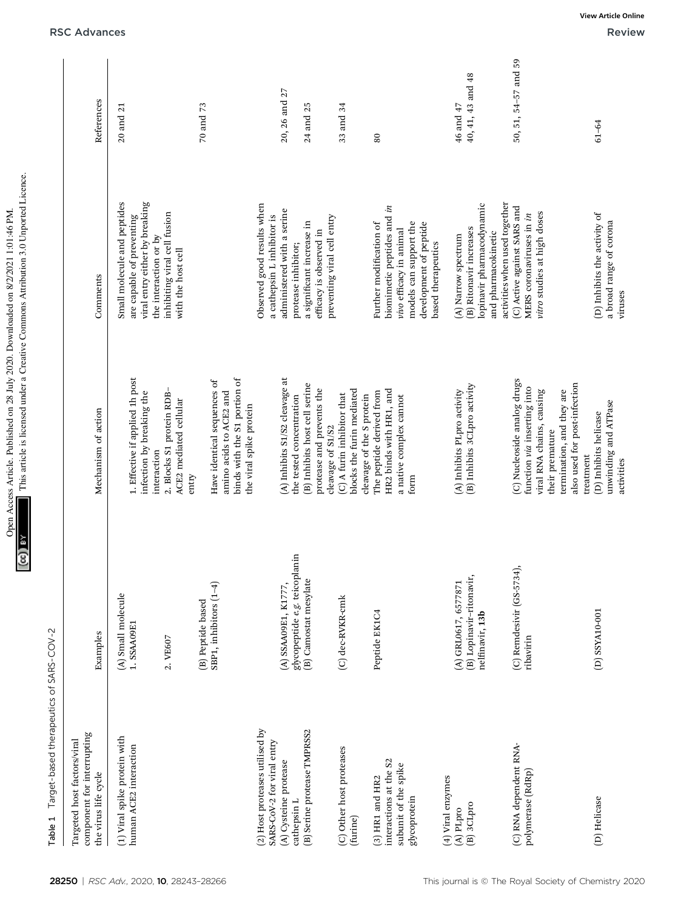| $\overline{\phantom{a}}$                     | $+$            |
|----------------------------------------------|----------------|
| $-1.011100011114$                            | .<br>יינו לאור |
| ミュンコ コンニ                                     | ;              |
| Access Article. Published on 28 July 2020. D | ă              |
| <b>Inen Artis</b>                            |                |

Table 1 Target-based therapeutics of SARS-COV-2 **Table 1**  $\top$ arget-based therapeutics of SARS-COV-2

| component for interrupting<br>Targeted host factors/viral<br>the virus life cycle   | Examples                                                            | Mechanism of action                                                                                                                                                     | Comments                                                                                                                                                   | References                     |
|-------------------------------------------------------------------------------------|---------------------------------------------------------------------|-------------------------------------------------------------------------------------------------------------------------------------------------------------------------|------------------------------------------------------------------------------------------------------------------------------------------------------------|--------------------------------|
| (1) Viral spike protein with<br>human ACE2 interaction                              | (A) Small molecule<br>1. SSAA09E1                                   | 1. Effective if applied 1h post<br>infection by breaking the                                                                                                            | Small molecule and peptides<br>viral entry either by breaking<br>are capable of preventing                                                                 | 20 and 21                      |
|                                                                                     | 2. VE607                                                            | 2. Blocks S1 protein RDB-<br>ACE2 mediated cellular<br>interaction<br>entry                                                                                             | inhibiting viral cell fusion<br>the interaction or by<br>with the host cell                                                                                |                                |
|                                                                                     | SBP1, inhibitors (1-4)<br>(B) Peptide based                         | binds with the S1 portion of<br>Have identical sequences of<br>amino acids to ACE2 and<br>the viral spike protein                                                       |                                                                                                                                                            | 70 and 73                      |
| (2) Host proteases utilised by<br>SARS-CoV-2 for viral entry                        |                                                                     |                                                                                                                                                                         | Observed good results when<br>a cathepsin L inhibitor is                                                                                                   |                                |
| (A) Cysteine protease<br>cathepsin L                                                | glycopeptide e.g. teicoplanin<br>(A) SSAA09E1, K1777,               | (A) Inhibits S1/S2 cleavage at<br>the tested concentration                                                                                                              | administered with a serine<br>protease inhibitor;                                                                                                          | 20, 26 and 27                  |
| (B) Serine protease TMPRSS2                                                         | (B) Camostat mesylate                                               | (B) Inhibits host cell serine<br>protease and prevents the                                                                                                              | a significant increase in<br>efficacy is observed in                                                                                                       | 24 and 25                      |
| (C) Other host proteases                                                            | (C) dec-RVKR-cmk                                                    | (C) A furin inhibitor that<br>cleavage of S1/S2                                                                                                                         | preventing viral cell entry                                                                                                                                | 33 and 34                      |
| (furine)                                                                            |                                                                     | blocks the furin mediated<br>cleavage of the S protein                                                                                                                  |                                                                                                                                                            |                                |
| interactions at the S2<br>subunit of the spike<br>$(3)$ HR1 and HR2<br>glycoprotein | Peptide EK1C4                                                       | HR2 binds with HR1, and<br>The peptide derived from<br>a native complex cannot<br>form                                                                                  | biomimetic peptides and in<br>Further modification of<br>models can support the<br>development of peptide<br>vivo efficacy in animal<br>based therapeutics | $80\,$                         |
| (4) Viral enzymes<br>(B) 3CLpro<br>(A) PLpro                                        | (B) Lopinavir-ritonavir,<br>(A) GRL0617, 6577871<br>nelfinavir, 13b | (B) Inhibits 3CLpro activity<br>(A) Inhibits PLpro activity                                                                                                             | lopinavir pharmacodynamic<br>(B) Ritonavir increases<br>and pharmacokinetic<br>(A) Narrow spectrum                                                         | 40, 41, 43 and 48<br>46 and 47 |
| (C) RNA dependent RNA-<br>polymerase (RdRp)                                         | $(C)$ Remdesivir $(GS-5734)$ ,<br>ribavirin                         | (C) Nucleoside analog drugs<br>also used for post-infection<br>function via inserting into<br>termination, and they are<br>viral RNA chains, causing<br>their premature | activities when used together<br>(C) Active against SARS and<br>vitro studies at high doses<br>MERS coronaviruses in in                                    | 50, 51, 54-57 and 59           |
| (D) Helicase                                                                        | D) SSYA10-001                                                       | unwinding and ATPase<br>(D) Inhibits helicase<br>treatment<br>activities                                                                                                | (D) Inhibits the activity of<br>a broad range of corona<br>viruses                                                                                         | $61 - 64$                      |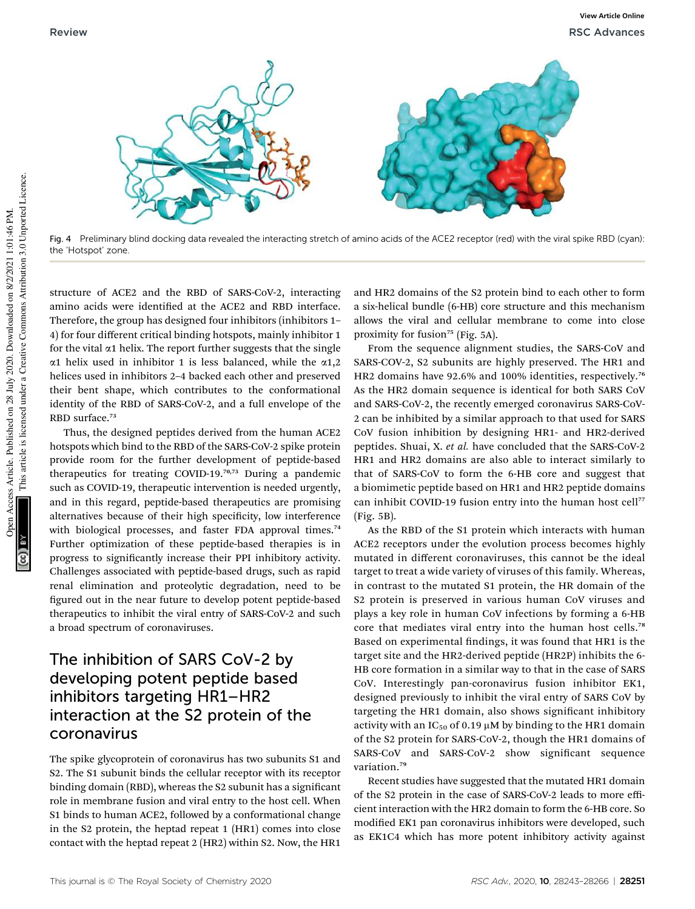

Fig. 4 Preliminary blind docking data revealed the interacting stretch of amino acids of the ACE2 receptor (red) with the viral spike RBD (cyan): the 'Hotspot' zone.

structure of ACE2 and the RBD of SARS-CoV-2, interacting amino acids were identified at the ACE2 and RBD interface. Therefore, the group has designed four inhibitors (inhibitors 1– 4) for four different critical binding hotspots, mainly inhibitor 1 for the vital  $\alpha$ 1 helix. The report further suggests that the single  $\alpha$ 1 helix used in inhibitor 1 is less balanced, while the  $\alpha$ 1,2 helices used in inhibitors 2–4 backed each other and preserved their bent shape, which contributes to the conformational identity of the RBD of SARS-CoV-2, and a full envelope of the RBD surface.<sup>73</sup>

Thus, the designed peptides derived from the human ACE2 hotspots which bind to the RBD of the SARS-CoV-2 spike protein provide room for the further development of peptide-based therapeutics for treating COVID-19.70,73 During a pandemic such as COVID-19, therapeutic intervention is needed urgently, and in this regard, peptide-based therapeutics are promising alternatives because of their high specificity, low interference with biological processes, and faster FDA approval times.<sup>74</sup> Further optimization of these peptide-based therapies is in progress to signicantly increase their PPI inhibitory activity. Challenges associated with peptide-based drugs, such as rapid renal elimination and proteolytic degradation, need to be figured out in the near future to develop potent peptide-based therapeutics to inhibit the viral entry of SARS-CoV-2 and such a broad spectrum of coronaviruses.

## The inhibition of SARS CoV-2 by developing potent peptide based inhibitors targeting HR1–HR2 interaction at the S2 protein of the coronavirus

The spike glycoprotein of coronavirus has two subunits S1 and S2. The S1 subunit binds the cellular receptor with its receptor binding domain (RBD), whereas the S2 subunit has a signicant role in membrane fusion and viral entry to the host cell. When S1 binds to human ACE2, followed by a conformational change in the S2 protein, the heptad repeat 1 (HR1) comes into close contact with the heptad repeat 2 (HR2) within S2. Now, the HR1

and HR2 domains of the S2 protein bind to each other to form a six-helical bundle (6-HB) core structure and this mechanism allows the viral and cellular membrane to come into close proximity for fusion<sup>75</sup> (Fig. 5A).

From the sequence alignment studies, the SARS-CoV and SARS-COV-2, S2 subunits are highly preserved. The HR1 and HR2 domains have 92.6% and 100% identities, respectively.<sup>76</sup> As the HR2 domain sequence is identical for both SARS CoV and SARS-CoV-2, the recently emerged coronavirus SARS-CoV-2 can be inhibited by a similar approach to that used for SARS CoV fusion inhibition by designing HR1- and HR2-derived peptides. Shuai, X. *et al.* have concluded that the SARS-CoV-2 HR1 and HR2 domains are also able to interact similarly to that of SARS-CoV to form the 6-HB core and suggest that a biomimetic peptide based on HR1 and HR2 peptide domains can inhibit COVID-19 fusion entry into the human host cell<sup>77</sup> (Fig. 5B).

As the RBD of the S1 protein which interacts with human ACE2 receptors under the evolution process becomes highly mutated in different coronaviruses, this cannot be the ideal target to treat a wide variety of viruses of this family. Whereas, in contrast to the mutated S1 protein, the HR domain of the S2 protein is preserved in various human CoV viruses and plays a key role in human CoV infections by forming a 6-HB core that mediates viral entry into the human host cells.<sup>78</sup> Based on experimental findings, it was found that HR1 is the target site and the HR2-derived peptide (HR2P) inhibits the 6- HB core formation in a similar way to that in the case of SARS CoV. Interestingly pan-coronavirus fusion inhibitor EK1, designed previously to inhibit the viral entry of SARS CoV by targeting the HR1 domain, also shows signicant inhibitory activity with an IC<sub>50</sub> of 0.19  $\mu$ M by binding to the HR1 domain of the S2 protein for SARS-CoV-2, though the HR1 domains of SARS-CoV and SARS-CoV-2 show significant sequence variation.<sup>79</sup>

Recent studies have suggested that the mutated HR1 domain of the S2 protein in the case of SARS-CoV-2 leads to more efficient interaction with the HR2 domain to form the 6-HB core. So modified EK1 pan coronavirus inhibitors were developed, such as EK1C4 which has more potent inhibitory activity against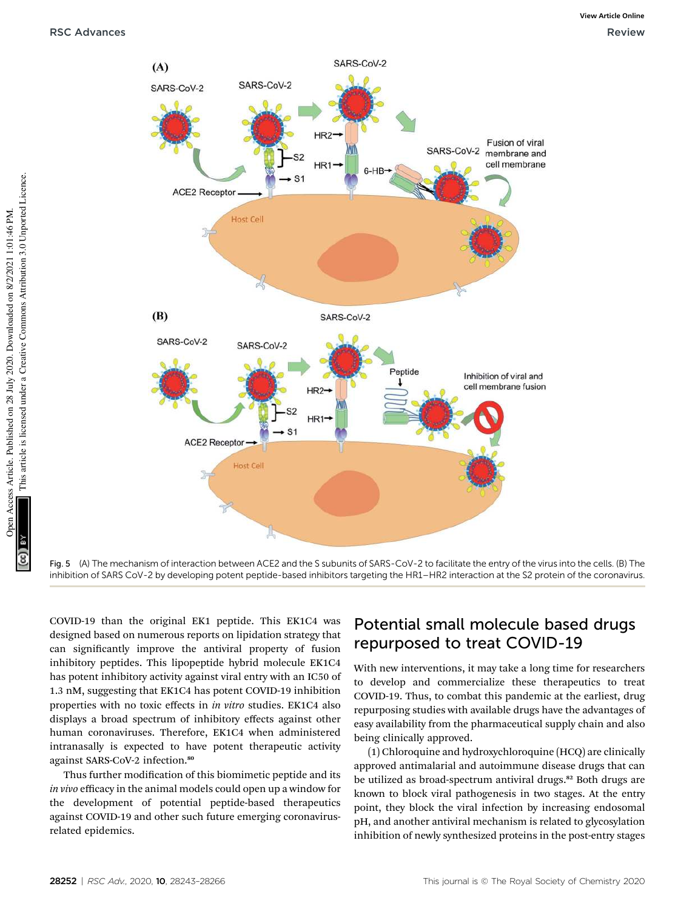

Fig. 5 (A) The mechanism of interaction between ACE2 and the S subunits of SARS-CoV-2 to facilitate the entry of the virus into the cells. (B) The inhibition of SARS CoV-2 by developing potent peptide-based inhibitors targeting the HR1–HR2 interaction at the S2 protein of the coronavirus.

COVID-19 than the original EK1 peptide. This EK1C4 was designed based on numerous reports on lipidation strategy that can signicantly improve the antiviral property of fusion inhibitory peptides. This lipopeptide hybrid molecule EK1C4 has potent inhibitory activity against viral entry with an IC50 of 1.3 nM, suggesting that EK1C4 has potent COVID-19 inhibition properties with no toxic effects in *in vitro* studies. EK1C4 also displays a broad spectrum of inhibitory effects against other human coronaviruses. Therefore, EK1C4 when administered intranasally is expected to have potent therapeutic activity against SARS-CoV-2 infection.<sup>80</sup>

Thus further modification of this biomimetic peptide and its *in vivo* efficacy in the animal models could open up a window for the development of potential peptide-based therapeutics against COVID-19 and other such future emerging coronavirusrelated epidemics.

## Potential small molecule based drugs repurposed to treat COVID-19

With new interventions, it may take a long time for researchers to develop and commercialize these therapeutics to treat COVID-19. Thus, to combat this pandemic at the earliest, drug repurposing studies with available drugs have the advantages of easy availability from the pharmaceutical supply chain and also being clinically approved.

(1) Chloroquine and hydroxychloroquine (HCQ) are clinically approved antimalarial and autoimmune disease drugs that can be utilized as broad-spectrum antiviral drugs.<sup>82</sup> Both drugs are known to block viral pathogenesis in two stages. At the entry point, they block the viral infection by increasing endosomal pH, and another antiviral mechanism is related to glycosylation inhibition of newly synthesized proteins in the post-entry stages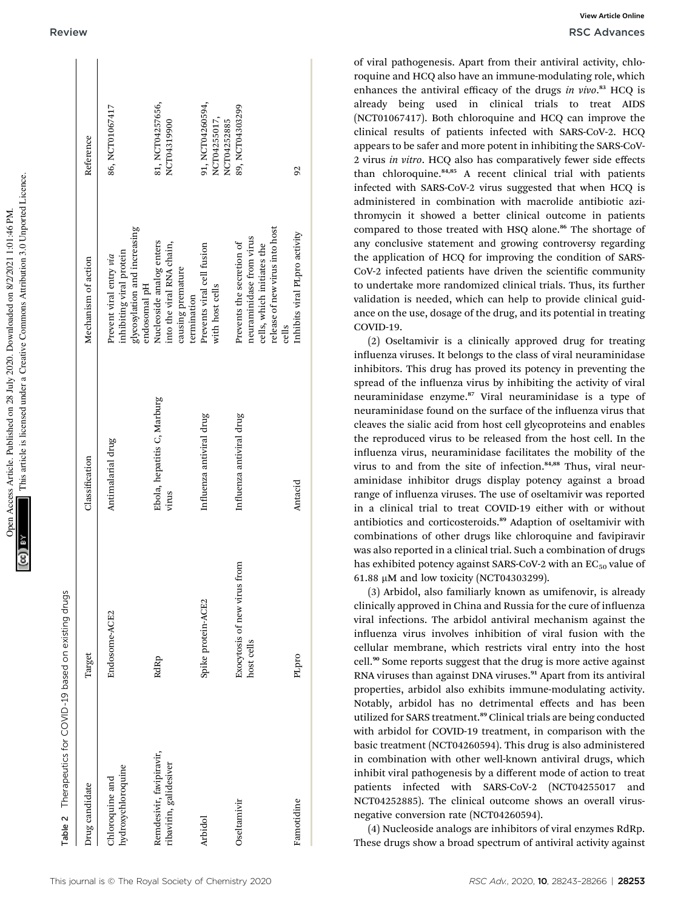This article is licensed under a Creative Commons Attribution 3.0 Unported Licence. This article is licensed under a Creative Commons Attribution 3.0 Unported Licence. Open Access Article. Published on 28 July 2020. Downloaded on 8/2/2021 1:01:46 PM. Open Access Article. Published on 28 July 2020. Downloaded on 8/2/2021 1:01:46 PM

 $\mathbf{L}$ 

 $\overline{1}$ 

Therapelitics for COVID-19 based on existing drugs Therapeutics for COVID-19 based on existing drugs Table 2

| Drug candidate                                     | Target                                     | Classification                       | Mechanism of action                                                                                                            | Reference                                       |
|----------------------------------------------------|--------------------------------------------|--------------------------------------|--------------------------------------------------------------------------------------------------------------------------------|-------------------------------------------------|
| hydroxychloroquine<br>Chloroquine and              | Endosome-ACE2                              | Antimalarial drug                    | glycosylation and increasing<br>inhibiting viral protein<br>Prevent viral entry via<br>endosomal pH                            | 86, NCT01067417                                 |
| Remdesivir, favipiravir,<br>ribavirin, galidesiver | RdRp                                       | Ebola, hepatitis C, Marburg<br>virus | Nucleoside analog enters<br>into the viral RNA chain,<br>causing premature<br>termination                                      | 81, NCT04257656,<br>NCT04319900                 |
| Arbidol                                            | Spike protein-ACE2                         | Influenza antiviral drug             | Prevents viral cell fusion<br>with host cells                                                                                  | 91, NCT04260594,<br>NCT04255017,<br>NCT04252885 |
| Oseltamivir                                        | Exocytosis of new virus from<br>host cells | Influenza antiviral drug             | release of new virus into host<br>neuraminidase from virus<br>Prevents the secretion of<br>cells, which initiates the<br>cells | 89, NCT04303299                                 |
| Famotidine                                         | PLpro                                      | Antacid                              | Inhibits viral PLpro activity                                                                                                  | 92                                              |
|                                                    |                                            |                                      |                                                                                                                                |                                                 |

Ĩ.

of viral pathogenesis. Apart from their antiviral activity, chloroquine and HCQ also have an immune-modulating role, which enhances the antiviral efficacy of the drugs *in vivo*. <sup>83</sup> HCQ is already being used in clinical trials to treat AIDS (NCT01067417). Both chloroquine and HCQ can improve the clinical results of patients infected with SARS-CoV-2. HCQ appears to be safer and more potent in inhibiting the SARS-CoV-2 virus *in vitro*. HCQ also has comparatively fewer side effects than chloroquine.<sup>84,85</sup> A recent clinical trial with patients infected with SARS-CoV-2 virus suggested that when HCQ is administered in combination with macrolide antibiotic azithromycin it showed a better clinical outcome in patients compared to those treated with HSQ alone.<sup>86</sup> The shortage of any conclusive statement and growing controversy regarding the application of HCQ for improving the condition of SARS-CoV-2 infected patients have driven the scientific community to undertake more randomized clinical trials. Thus, its further validation is needed, which can help to provide clinical guidance on the use, dosage of the drug, and its potential in treating COVID-19.

(2) Oseltamivir is a clinically approved drug for treating influenza viruses. It belongs to the class of viral neuraminidase inhibitors. This drug has proved its potency in preventing the spread of the influenza virus by inhibiting the activity of viral neuraminidase enzyme.<sup>87</sup> Viral neuraminidase is a type of neuraminidase found on the surface of the influenza virus that cleaves the sialic acid from host cell glycoproteins and enables the reproduced virus to be released from the host cell. In the influenza virus, neuraminidase facilitates the mobility of the virus to and from the site of infection.84,88 Thus, viral neuraminidase inhibitor drugs display potency against a broad range of influenza viruses. The use of oseltamivir was reported in a clinical trial to treat COVID-19 either with or without antibiotics and corticosteroids.<sup>89</sup> Adaption of oseltamivir with combinations of other drugs like chloroquine and favipiravir was also reported in a clinical trial. Such a combination of drugs has exhibited potency against SARS-CoV-2 with an  $EC_{50}$  value of 61.88  $\mu$ M and low toxicity (NCT04303299).

(3) Arbidol, also familiarly known as umifenovir, is already clinically approved in China and Russia for the cure of influenza viral infections. The arbidol antiviral mechanism against the influenza virus involves inhibition of viral fusion with the cellular membrane, which restricts viral entry into the host cell.<sup>90</sup> Some reports suggest that the drug is more active against RNA viruses than against DNA viruses.<sup>91</sup> Apart from its antiviral properties, arbidol also exhibits immune-modulating activity. Notably, arbidol has no detrimental effects and has been utilized for SARS treatment.<sup>89</sup> Clinical trials are being conducted with arbidol for COVID-19 treatment, in comparison with the basic treatment (NCT04260594). This drug is also administered in combination with other well-known antiviral drugs, which inhibit viral pathogenesis by a different mode of action to treat patients infected with SARS-CoV-2 (NCT04255017 and NCT04252885). The clinical outcome shows an overall virusnegative conversion rate (NCT04260594).

(4) Nucleoside analogs are inhibitors of viral enzymes RdRp. These drugs show a broad spectrum of antiviral activity against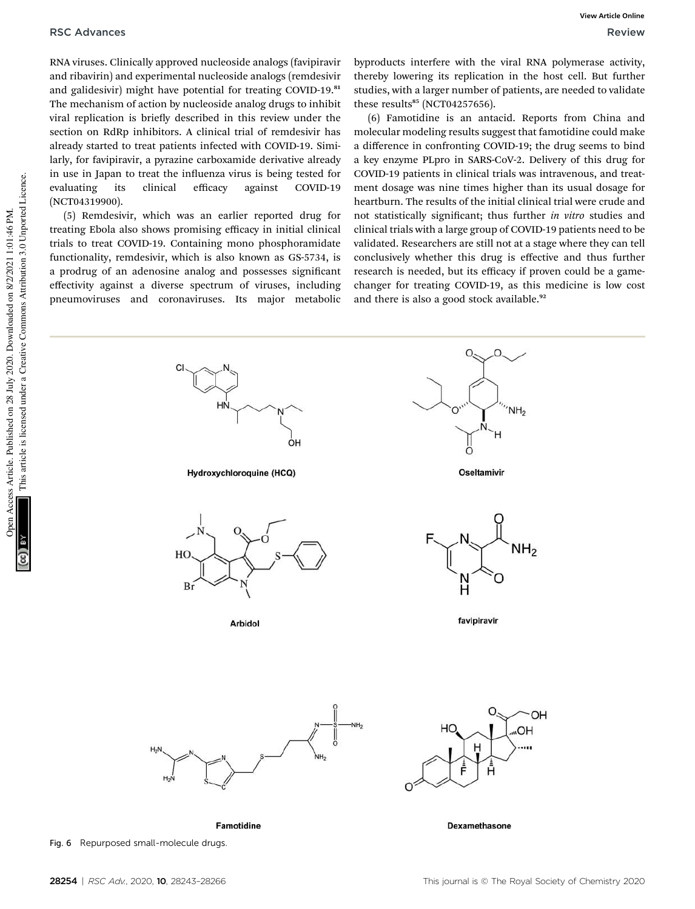RNA viruses. Clinically approved nucleoside analogs (favipiravir and ribavirin) and experimental nucleoside analogs (remdesivir and galidesivir) might have potential for treating COVID-19.81 The mechanism of action by nucleoside analog drugs to inhibit viral replication is briefly described in this review under the section on RdRp inhibitors. A clinical trial of remdesivir has already started to treat patients infected with COVID-19. Similarly, for favipiravir, a pyrazine carboxamide derivative already in use in Japan to treat the influenza virus is being tested for evaluating its clinical efficacy against COVID-19 (NCT04319900).

(5) Remdesivir, which was an earlier reported drug for treating Ebola also shows promising efficacy in initial clinical trials to treat COVID-19. Containing mono phosphoramidate functionality, remdesivir, which is also known as GS-5734, is a prodrug of an adenosine analog and possesses signicant effectivity against a diverse spectrum of viruses, including pneumoviruses and coronaviruses. Its major metabolic byproducts interfere with the viral RNA polymerase activity, thereby lowering its replication in the host cell. But further studies, with a larger number of patients, are needed to validate these results<sup>85</sup> (NCT04257656).

(6) Famotidine is an antacid. Reports from China and molecular modeling results suggest that famotidine could make a difference in confronting COVID-19; the drug seems to bind a key enzyme PLpro in SARS-CoV-2. Delivery of this drug for COVID-19 patients in clinical trials was intravenous, and treatment dosage was nine times higher than its usual dosage for heartburn. The results of the initial clinical trial were crude and not statistically signicant; thus further *in vitro* studies and clinical trials with a large group of COVID-19 patients need to be validated. Researchers are still not at a stage where they can tell conclusively whether this drug is effective and thus further research is needed, but its efficacy if proven could be a gamechanger for treating COVID-19, as this medicine is low cost and there is also a good stock available.<sup>92</sup>

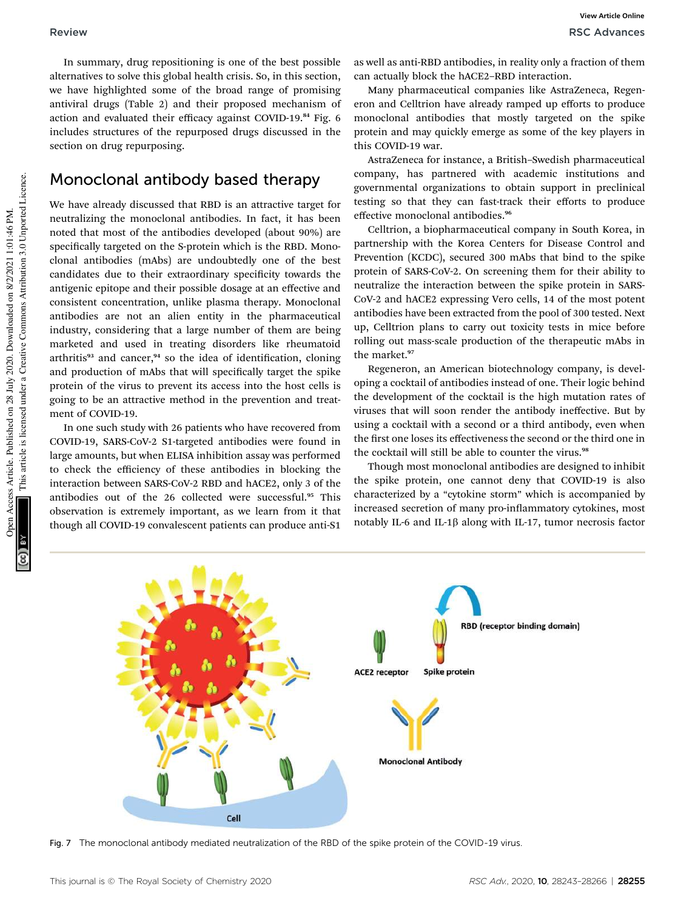In summary, drug repositioning is one of the best possible alternatives to solve this global health crisis. So, in this section, we have highlighted some of the broad range of promising antiviral drugs (Table 2) and their proposed mechanism of action and evaluated their efficacy against COVID-19.<sup>84</sup> Fig. 6 includes structures of the repurposed drugs discussed in the section on drug repurposing.

### Monoclonal antibody based therapy

We have already discussed that RBD is an attractive target for neutralizing the monoclonal antibodies. In fact, it has been noted that most of the antibodies developed (about 90%) are specifically targeted on the S-protein which is the RBD. Monoclonal antibodies (mAbs) are undoubtedly one of the best candidates due to their extraordinary specificity towards the antigenic epitope and their possible dosage at an effective and consistent concentration, unlike plasma therapy. Monoclonal antibodies are not an alien entity in the pharmaceutical industry, considering that a large number of them are being marketed and used in treating disorders like rheumatoid arthritis<sup>93</sup> and cancer,<sup>94</sup> so the idea of identification, cloning and production of mAbs that will specifically target the spike protein of the virus to prevent its access into the host cells is going to be an attractive method in the prevention and treatment of COVID-19.

In one such study with 26 patients who have recovered from COVID-19, SARS-CoV-2 S1-targeted antibodies were found in large amounts, but when ELISA inhibition assay was performed to check the efficiency of these antibodies in blocking the interaction between SARS-CoV-2 RBD and hACE2, only 3 of the antibodies out of the 26 collected were successful.<sup>95</sup> This observation is extremely important, as we learn from it that though all COVID-19 convalescent patients can produce anti-S1

as well as anti-RBD antibodies, in reality only a fraction of them can actually block the hACE2–RBD interaction.

Many pharmaceutical companies like AstraZeneca, Regeneron and Celltrion have already ramped up efforts to produce monoclonal antibodies that mostly targeted on the spike protein and may quickly emerge as some of the key players in this COVID-19 war.

AstraZeneca for instance, a British–Swedish pharmaceutical company, has partnered with academic institutions and governmental organizations to obtain support in preclinical testing so that they can fast-track their efforts to produce effective monoclonal antibodies.<sup>96</sup>

Celltrion, a biopharmaceutical company in South Korea, in partnership with the Korea Centers for Disease Control and Prevention (KCDC), secured 300 mAbs that bind to the spike protein of SARS-CoV-2. On screening them for their ability to neutralize the interaction between the spike protein in SARS-CoV-2 and hACE2 expressing Vero cells, 14 of the most potent antibodies have been extracted from the pool of 300 tested. Next up, Celltrion plans to carry out toxicity tests in mice before rolling out mass-scale production of the therapeutic mAbs in the market.<sup>97</sup>

Regeneron, an American biotechnology company, is developing a cocktail of antibodies instead of one. Their logic behind the development of the cocktail is the high mutation rates of viruses that will soon render the antibody ineffective. But by using a cocktail with a second or a third antibody, even when the first one loses its effectiveness the second or the third one in the cocktail will still be able to counter the virus.<sup>98</sup>

Though most monoclonal antibodies are designed to inhibit the spike protein, one cannot deny that COVID-19 is also characterized by a "cytokine storm" which is accompanied by increased secretion of many pro-inflammatory cytokines, most notably IL-6 and IL-1 $\beta$  along with IL-17, tumor necrosis factor



Fig. 7 The monoclonal antibody mediated neutralization of the RBD of the spike protein of the COVID-19 virus.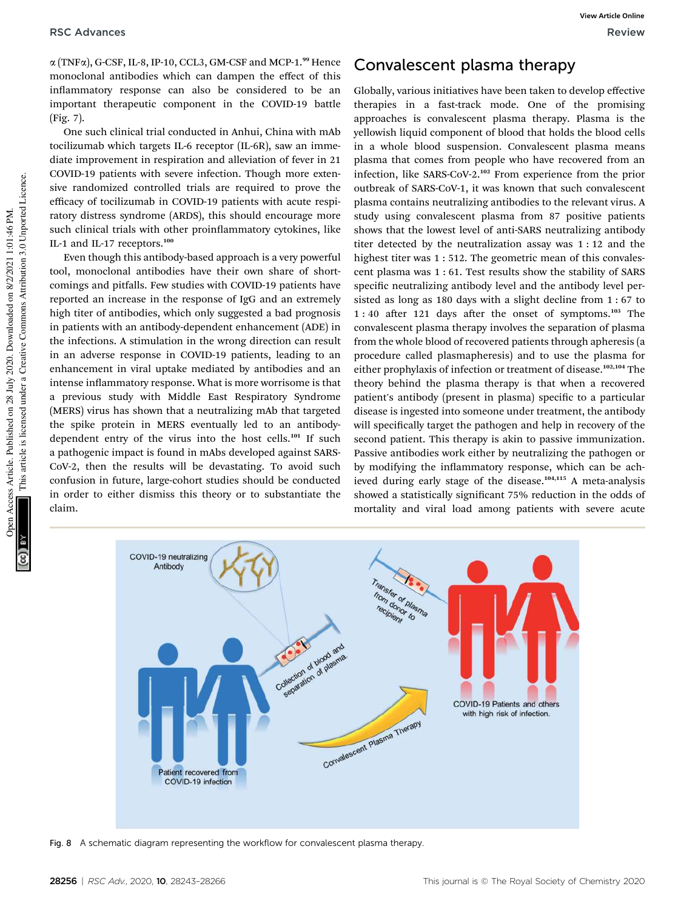$\alpha$  (TNF $\alpha$ ), G-CSF, IL-8, IP-10, CCL3, GM-CSF and MCP-1.<sup>99</sup> Hence monoclonal antibodies which can dampen the effect of this inflammatory response can also be considered to be an important therapeutic component in the COVID-19 battle (Fig. 7).

One such clinical trial conducted in Anhui, China with mAb tocilizumab which targets IL-6 receptor (IL-6R), saw an immediate improvement in respiration and alleviation of fever in 21 COVID-19 patients with severe infection. Though more extensive randomized controlled trials are required to prove the efficacy of tocilizumab in COVID-19 patients with acute respiratory distress syndrome (ARDS), this should encourage more such clinical trials with other proinflammatory cytokines, like IL-1 and IL-17 receptors.<sup>100</sup>

Even though this antibody-based approach is a very powerful tool, monoclonal antibodies have their own share of shortcomings and pitfalls. Few studies with COVID-19 patients have reported an increase in the response of IgG and an extremely high titer of antibodies, which only suggested a bad prognosis in patients with an antibody-dependent enhancement (ADE) in the infections. A stimulation in the wrong direction can result in an adverse response in COVID-19 patients, leading to an enhancement in viral uptake mediated by antibodies and an intense inflammatory response. What is more worrisome is that a previous study with Middle East Respiratory Syndrome (MERS) virus has shown that a neutralizing mAb that targeted the spike protein in MERS eventually led to an antibodydependent entry of the virus into the host cells.<sup>101</sup> If such a pathogenic impact is found in mAbs developed against SARS-CoV-2, then the results will be devastating. To avoid such confusion in future, large-cohort studies should be conducted in order to either dismiss this theory or to substantiate the claim.

## Convalescent plasma therapy

Globally, various initiatives have been taken to develop effective therapies in a fast-track mode. One of the promising approaches is convalescent plasma therapy. Plasma is the yellowish liquid component of blood that holds the blood cells in a whole blood suspension. Convalescent plasma means plasma that comes from people who have recovered from an infection, like SARS-CoV-2.<sup>102</sup> From experience from the prior outbreak of SARS-CoV-1, it was known that such convalescent plasma contains neutralizing antibodies to the relevant virus. A study using convalescent plasma from 87 positive patients shows that the lowest level of anti-SARS neutralizing antibody titer detected by the neutralization assay was 1 : 12 and the highest titer was 1 : 512. The geometric mean of this convalescent plasma was 1 : 61. Test results show the stability of SARS specific neutralizing antibody level and the antibody level persisted as long as 180 days with a slight decline from 1 : 67 to  $1:40$  after 121 days after the onset of symptoms.<sup>103</sup> The convalescent plasma therapy involves the separation of plasma from the whole blood of recovered patients through apheresis (a procedure called plasmapheresis) and to use the plasma for either prophylaxis of infection or treatment of disease.<sup>102,104</sup> The theory behind the plasma therapy is that when a recovered patient's antibody (present in plasma) specific to a particular disease is ingested into someone under treatment, the antibody will specifically target the pathogen and help in recovery of the second patient. This therapy is akin to passive immunization. Passive antibodies work either by neutralizing the pathogen or by modifying the inflammatory response, which can be achieved during early stage of the disease.<sup>104,115</sup> A meta-analysis showed a statistically significant 75% reduction in the odds of mortality and viral load among patients with severe acute



Fig. 8 A schematic diagram representing the workflow for convalescent plasma therapy.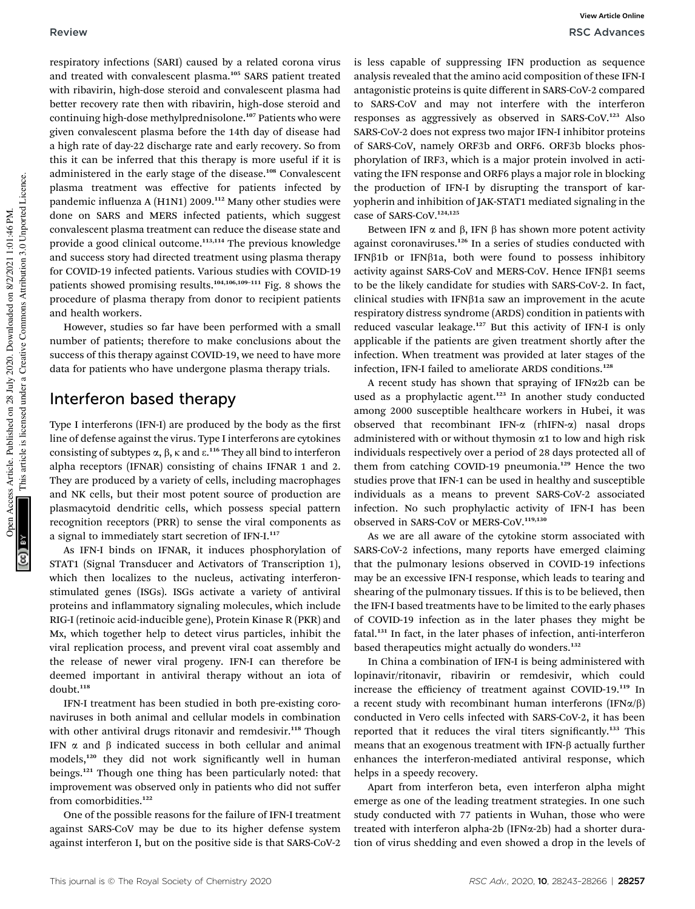respiratory infections (SARI) caused by a related corona virus and treated with convalescent plasma.<sup>105</sup> SARS patient treated with ribavirin, high-dose steroid and convalescent plasma had better recovery rate then with ribavirin, high-dose steroid and continuing high-dose methylprednisolone.<sup>107</sup> Patients who were given convalescent plasma before the 14th day of disease had a high rate of day-22 discharge rate and early recovery. So from this it can be inferred that this therapy is more useful if it is administered in the early stage of the disease.<sup>108</sup> Convalescent plasma treatment was effective for patients infected by pandemic influenza A  $(H1N1)$  2009.<sup>112</sup> Many other studies were done on SARS and MERS infected patients, which suggest convalescent plasma treatment can reduce the disease state and provide a good clinical outcome.<sup>113,114</sup> The previous knowledge and success story had directed treatment using plasma therapy for COVID-19 infected patients. Various studies with COVID-19 patients showed promising results.104,106,109–<sup>111</sup> Fig. 8 shows the procedure of plasma therapy from donor to recipient patients and health workers.

However, studies so far have been performed with a small number of patients; therefore to make conclusions about the success of this therapy against COVID-19, we need to have more data for patients who have undergone plasma therapy trials.

### Interferon based therapy

Type I interferons (IFN-I) are produced by the body as the first line of defense against the virus. Type I interferons are cytokines consisting of subtypes  $\alpha$ ,  $\beta$ ,  $\kappa$  and  $\epsilon$ .<sup>116</sup> They all bind to interferon alpha receptors (IFNAR) consisting of chains IFNAR 1 and 2. They are produced by a variety of cells, including macrophages and NK cells, but their most potent source of production are plasmacytoid dendritic cells, which possess special pattern recognition receptors (PRR) to sense the viral components as a signal to immediately start secretion of IFN-I.<sup>117</sup>

As IFN-I binds on IFNAR, it induces phosphorylation of STAT1 (Signal Transducer and Activators of Transcription 1), which then localizes to the nucleus, activating interferonstimulated genes (ISGs). ISGs activate a variety of antiviral proteins and inflammatory signaling molecules, which include RIG-I (retinoic acid-inducible gene), Protein Kinase R (PKR) and Mx, which together help to detect virus particles, inhibit the viral replication process, and prevent viral coat assembly and the release of newer viral progeny. IFN-I can therefore be deemed important in antiviral therapy without an iota of doubt.<sup>118</sup>

IFN-I treatment has been studied in both pre-existing coronaviruses in both animal and cellular models in combination with other antiviral drugs ritonavir and remdesivir.<sup>118</sup> Though IFN  $\alpha$  and  $\beta$  indicated success in both cellular and animal models,<sup>120</sup> they did not work significantly well in human beings.<sup>121</sup> Though one thing has been particularly noted: that improvement was observed only in patients who did not suffer from comorbidities.<sup>122</sup>

One of the possible reasons for the failure of IFN-I treatment against SARS-CoV may be due to its higher defense system against interferon I, but on the positive side is that SARS-CoV-2

is less capable of suppressing IFN production as sequence analysis revealed that the amino acid composition of these IFN-I antagonistic proteins is quite different in SARS-CoV-2 compared to SARS-CoV and may not interfere with the interferon responses as aggressively as observed in SARS-CoV.<sup>123</sup> Also SARS-CoV-2 does not express two major IFN-I inhibitor proteins of SARS-CoV, namely ORF3b and ORF6. ORF3b blocks phosphorylation of IRF3, which is a major protein involved in activating the IFN response and ORF6 plays a major role in blocking the production of IFN-I by disrupting the transport of karyopherin and inhibition of JAK-STAT1 mediated signaling in the case of SARS-CoV.124,125

Between IFN  $\alpha$  and  $\beta$ , IFN  $\beta$  has shown more potent activity against coronaviruses.<sup>126</sup> In a series of studies conducted with  $IFN\beta1b$  or  $IFN\beta1a$ , both were found to possess inhibitory activity against SARS-CoV and MERS-CoV. Hence IFN $\beta$ 1 seems to be the likely candidate for studies with SARS-CoV-2. In fact, clinical studies with IFN $\beta$ 1a saw an improvement in the acute respiratory distress syndrome (ARDS) condition in patients with reduced vascular leakage.<sup>127</sup> But this activity of IFN-I is only applicable if the patients are given treatment shortly after the infection. When treatment was provided at later stages of the infection, IFN-I failed to ameliorate ARDS conditions.<sup>128</sup>

A recent study has shown that spraying of IFNa2b can be used as a prophylactic agent.<sup>123</sup> In another study conducted among 2000 susceptible healthcare workers in Hubei, it was observed that recombinant IFN- $\alpha$  (rhIFN- $\alpha$ ) nasal drops administered with or without thymosin  $\alpha$ 1 to low and high risk individuals respectively over a period of 28 days protected all of them from catching COVID-19 pneumonia.<sup>129</sup> Hence the two studies prove that IFN-1 can be used in healthy and susceptible individuals as a means to prevent SARS-CoV-2 associated infection. No such prophylactic activity of IFN-I has been observed in SARS-CoV or MERS-CoV.119,130

As we are all aware of the cytokine storm associated with SARS-CoV-2 infections, many reports have emerged claiming that the pulmonary lesions observed in COVID-19 infections may be an excessive IFN-I response, which leads to tearing and shearing of the pulmonary tissues. If this is to be believed, then the IFN-I based treatments have to be limited to the early phases of COVID-19 infection as in the later phases they might be fatal.<sup>131</sup> In fact, in the later phases of infection, anti-interferon based therapeutics might actually do wonders.<sup>132</sup>

In China a combination of IFN-I is being administered with lopinavir/ritonavir, ribavirin or remdesivir, which could increase the efficiency of treatment against COVID-19.<sup>119</sup> In a recent study with recombinant human interferons (IFN $\alpha/\beta$ ) conducted in Vero cells infected with SARS-CoV-2, it has been reported that it reduces the viral titers significantly.<sup>133</sup> This means that an exogenous treatment with IFN- $\beta$  actually further enhances the interferon-mediated antiviral response, which helps in a speedy recovery.

Apart from interferon beta, even interferon alpha might emerge as one of the leading treatment strategies. In one such study conducted with 77 patients in Wuhan, those who were treated with interferon alpha-2b (IFNa-2b) had a shorter duration of virus shedding and even showed a drop in the levels of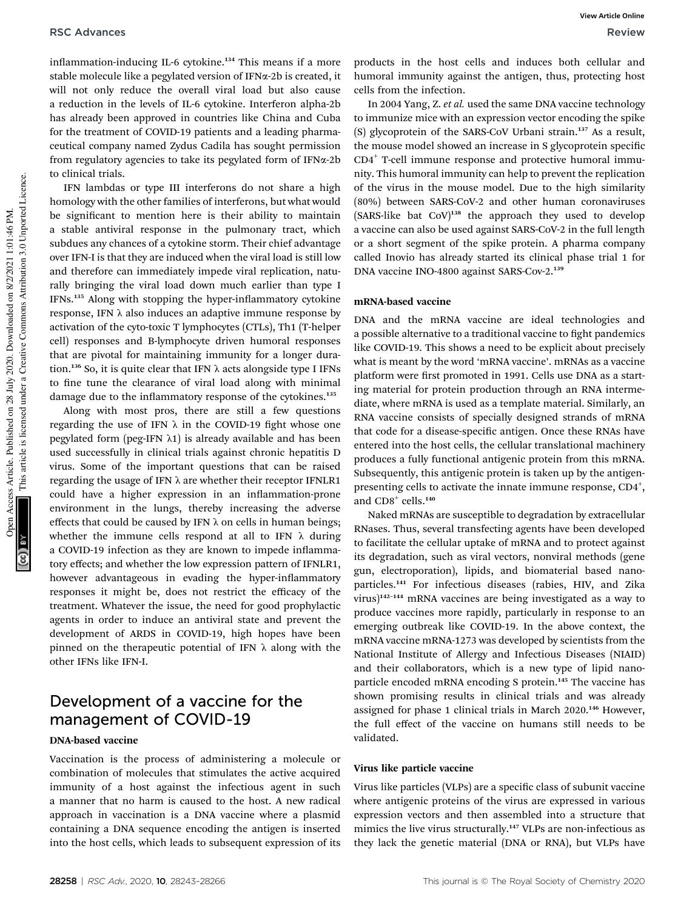inflammation-inducing IL-6 cytokine.<sup>134</sup> This means if a more stable molecule like a pegylated version of IFN $\alpha$ -2b is created, it will not only reduce the overall viral load but also cause a reduction in the levels of IL-6 cytokine. Interferon alpha-2b has already been approved in countries like China and Cuba for the treatment of COVID-19 patients and a leading pharmaceutical company named Zydus Cadila has sought permission from regulatory agencies to take its pegylated form of  $IFN\alpha-2b$ to clinical trials.

IFN lambdas or type III interferons do not share a high homology with the other families of interferons, but what would be significant to mention here is their ability to maintain a stable antiviral response in the pulmonary tract, which subdues any chances of a cytokine storm. Their chief advantage over IFN-I is that they are induced when the viral load is still low and therefore can immediately impede viral replication, naturally bringing the viral load down much earlier than type I  $IFNs<sup>135</sup>$  Along with stopping the hyper-inflammatory cytokine response, IFN  $\lambda$  also induces an adaptive immune response by activation of the cyto-toxic T lymphocytes (CTLs), Th1 (T-helper cell) responses and B-lymphocyte driven humoral responses that are pivotal for maintaining immunity for a longer duration.<sup>136</sup> So, it is quite clear that IFN  $\lambda$  acts alongside type I IFNs to fine tune the clearance of viral load along with minimal damage due to the inflammatory response of the cytokines.<sup>135</sup>

Along with most pros, there are still a few questions regarding the use of IFN  $\lambda$  in the COVID-19 fight whose one pegylated form (peg-IFN  $\lambda$ 1) is already available and has been used successfully in clinical trials against chronic hepatitis D virus. Some of the important questions that can be raised regarding the usage of IFN  $\lambda$  are whether their receptor IFNLR1 could have a higher expression in an inflammation-prone environment in the lungs, thereby increasing the adverse effects that could be caused by IFN  $\lambda$  on cells in human beings; whether the immune cells respond at all to IFN  $\lambda$  during a COVID-19 infection as they are known to impede inflammatory effects; and whether the low expression pattern of IFNLR1, however advantageous in evading the hyper-inflammatory responses it might be, does not restrict the efficacy of the treatment. Whatever the issue, the need for good prophylactic agents in order to induce an antiviral state and prevent the development of ARDS in COVID-19, high hopes have been pinned on the therapeutic potential of IFN  $\lambda$  along with the other IFNs like IFN-I.

## Development of a vaccine for the management of COVID-19

#### DNA-based vaccine

Vaccination is the process of administering a molecule or combination of molecules that stimulates the active acquired immunity of a host against the infectious agent in such a manner that no harm is caused to the host. A new radical approach in vaccination is a DNA vaccine where a plasmid containing a DNA sequence encoding the antigen is inserted into the host cells, which leads to subsequent expression of its

products in the host cells and induces both cellular and humoral immunity against the antigen, thus, protecting host cells from the infection.

In 2004 Yang, Z. *et al.* used the same DNA vaccine technology to immunize mice with an expression vector encoding the spike (S) glycoprotein of the SARS-CoV Urbani strain.<sup>137</sup> As a result, the mouse model showed an increase in S glycoprotein specific CD4<sup>+</sup> T-cell immune response and protective humoral immunity. This humoral immunity can help to prevent the replication of the virus in the mouse model. Due to the high similarity (80%) between SARS-CoV-2 and other human coronaviruses  $(SARS-like bat COV)^{138}$  the approach they used to develop a vaccine can also be used against SARS-CoV-2 in the full length or a short segment of the spike protein. A pharma company called Inovio has already started its clinical phase trial 1 for DNA vaccine INO-4800 against SARS-Cov-2.<sup>139</sup>

#### mRNA-based vaccine

DNA and the mRNA vaccine are ideal technologies and a possible alternative to a traditional vaccine to fight pandemics like COVID-19. This shows a need to be explicit about precisely what is meant by the word 'mRNA vaccine'. mRNAs as a vaccine platform were first promoted in 1991. Cells use DNA as a starting material for protein production through an RNA intermediate, where mRNA is used as a template material. Similarly, an RNA vaccine consists of specially designed strands of mRNA that code for a disease-specific antigen. Once these RNAs have entered into the host cells, the cellular translational machinery produces a fully functional antigenic protein from this mRNA. Subsequently, this antigenic protein is taken up by the antigenpresenting cells to activate the innate immune response, CD4<sup>+</sup>, and  $CD8^+$  cells.<sup>140</sup>

Naked mRNAs are susceptible to degradation by extracellular RNases. Thus, several transfecting agents have been developed to facilitate the cellular uptake of mRNA and to protect against its degradation, such as viral vectors, nonviral methods (gene gun, electroporation), lipids, and biomaterial based nanoparticles.<sup>141</sup> For infectious diseases (rabies, HIV, and Zika virus)<sup>142</sup>–<sup>144</sup> mRNA vaccines are being investigated as a way to produce vaccines more rapidly, particularly in response to an emerging outbreak like COVID-19. In the above context, the mRNA vaccine mRNA-1273 was developed by scientists from the National Institute of Allergy and Infectious Diseases (NIAID) and their collaborators, which is a new type of lipid nanoparticle encoded mRNA encoding S protein.<sup>145</sup> The vaccine has shown promising results in clinical trials and was already assigned for phase 1 clinical trials in March 2020.<sup>146</sup> However, the full effect of the vaccine on humans still needs to be validated.

#### Virus like particle vaccine

Virus like particles (VLPs) are a specific class of subunit vaccine where antigenic proteins of the virus are expressed in various expression vectors and then assembled into a structure that mimics the live virus structurally.<sup>147</sup> VLPs are non-infectious as they lack the genetic material (DNA or RNA), but VLPs have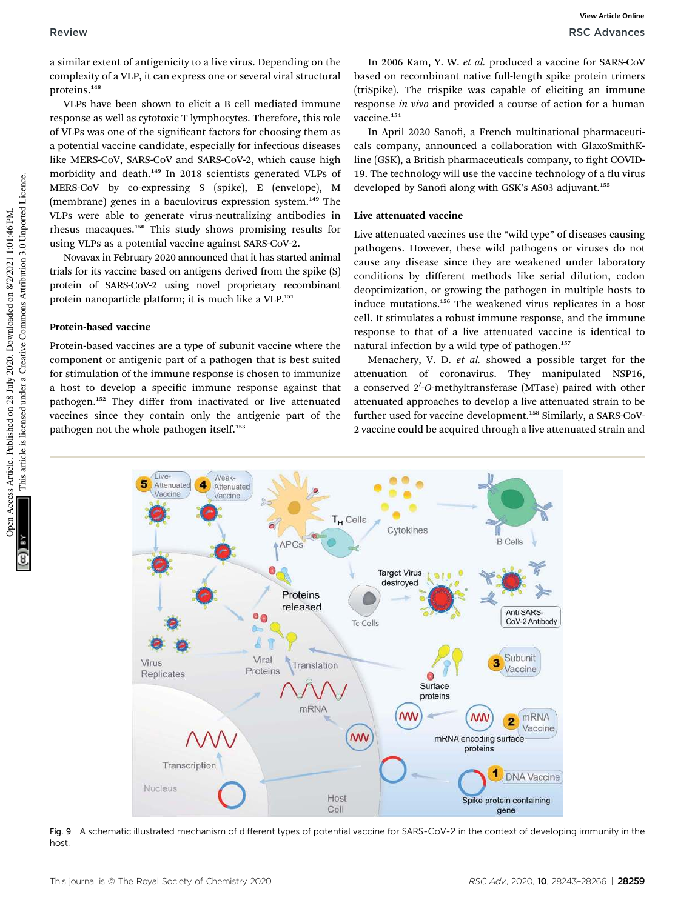a similar extent of antigenicity to a live virus. Depending on the complexity of a VLP, it can express one or several viral structural proteins.<sup>148</sup>

VLPs have been shown to elicit a B cell mediated immune response as well as cytotoxic T lymphocytes. Therefore, this role of VLPs was one of the signicant factors for choosing them as a potential vaccine candidate, especially for infectious diseases like MERS-CoV, SARS-CoV and SARS-CoV-2, which cause high morbidity and death.<sup>149</sup> In 2018 scientists generated VLPs of MERS-CoV by co-expressing S (spike), E (envelope), M (membrane) genes in a baculovirus expression system.<sup>149</sup> The VLPs were able to generate virus-neutralizing antibodies in rhesus macaques.<sup>150</sup> This study shows promising results for using VLPs as a potential vaccine against SARS-CoV-2.

Novavax in February 2020 announced that it has started animal trials for its vaccine based on antigens derived from the spike (S) protein of SARS-CoV-2 using novel proprietary recombinant protein nanoparticle platform; it is much like a VLP.<sup>151</sup>

#### Protein-based vaccine

Protein-based vaccines are a type of subunit vaccine where the component or antigenic part of a pathogen that is best suited for stimulation of the immune response is chosen to immunize a host to develop a specific immune response against that pathogen.<sup>152</sup> They differ from inactivated or live attenuated vaccines since they contain only the antigenic part of the pathogen not the whole pathogen itself.<sup>153</sup>

In 2006 Kam, Y. W. *et al.* produced a vaccine for SARS-CoV based on recombinant native full-length spike protein trimers (triSpike). The trispike was capable of eliciting an immune response *in vivo* and provided a course of action for a human vaccine.<sup>154</sup>

In April 2020 Sanofi, a French multinational pharmaceuticals company, announced a collaboration with GlaxoSmithKline (GSK), a British pharmaceuticals company, to fight COVID-19. The technology will use the vaccine technology of a flu virus developed by Sanofi along with GSK's AS03 adjuvant.<sup>155</sup>

#### Live attenuated vaccine

Live attenuated vaccines use the "wild type" of diseases causing pathogens. However, these wild pathogens or viruses do not cause any disease since they are weakened under laboratory conditions by different methods like serial dilution, codon deoptimization, or growing the pathogen in multiple hosts to induce mutations.<sup>156</sup> The weakened virus replicates in a host cell. It stimulates a robust immune response, and the immune response to that of a live attenuated vaccine is identical to natural infection by a wild type of pathogen.<sup>157</sup>

Menachery, V. D. *et al.* showed a possible target for the attenuation of coronavirus. They manipulated NSP16, a conserved 2'-O-methyltransferase (MTase) paired with other attenuated approaches to develop a live attenuated strain to be further used for vaccine development.<sup>158</sup> Similarly, a SARS-CoV-2 vaccine could be acquired through a live attenuated strain and



Fig. 9 A schematic illustrated mechanism of different types of potential vaccine for SARS-CoV-2 in the context of developing immunity in the host.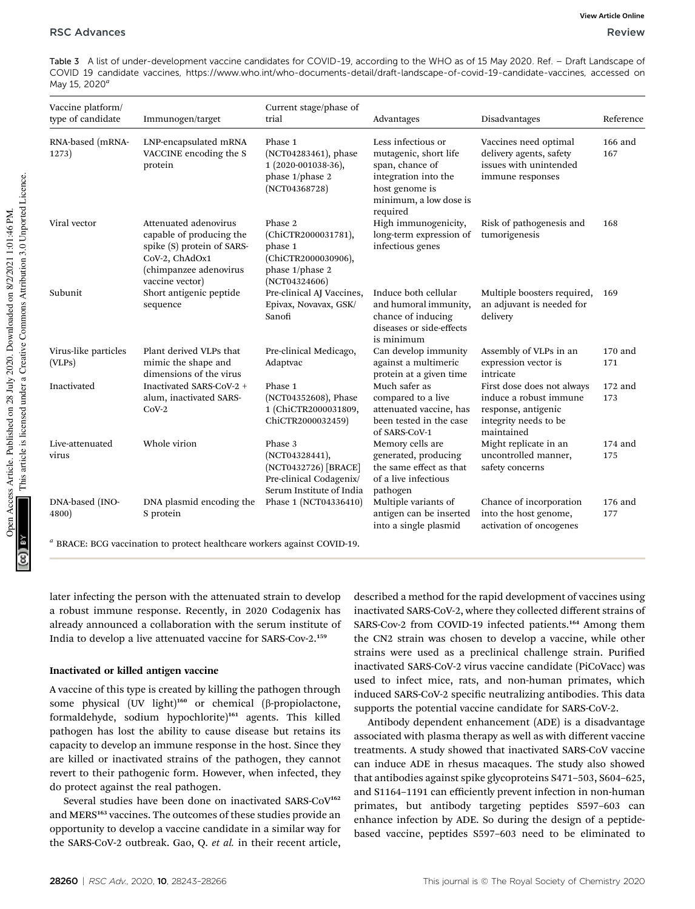Table 3 A list of under-development vaccine candidates for COVID-19, according to the WHO as of 15 May 2020. Ref. – Draft Landscape of COVID 19 candidate vaccines, https://www.who.int/who-documents-detail/draft-landscape-of-covid-19-candidate-vaccines, accessed on May 15, 2020*<sup>a</sup>*

| Vaccine platform/<br>type of candidate | Immunogen/target                                                                                                                               | Current stage/phase of<br>trial                                                                          | Advantages                                                                                                                                     | Disadvantages                                                                                                      | Reference        |
|----------------------------------------|------------------------------------------------------------------------------------------------------------------------------------------------|----------------------------------------------------------------------------------------------------------|------------------------------------------------------------------------------------------------------------------------------------------------|--------------------------------------------------------------------------------------------------------------------|------------------|
| RNA-based (mRNA-<br>1273)              | LNP-encapsulated mRNA<br>VACCINE encoding the S<br>protein                                                                                     | Phase 1<br>(NCT04283461), phase<br>1 (2020-001038-36),<br>phase 1/phase 2<br>(NOT04368728)               | Less infectious or<br>mutagenic, short life<br>span, chance of<br>integration into the<br>host genome is<br>minimum, a low dose is<br>required | Vaccines need optimal<br>delivery agents, safety<br>issues with unintended<br>immune responses                     | $166$ and<br>167 |
| Viral vector                           | Attenuated adenovirus<br>capable of producing the<br>spike (S) protein of SARS-<br>CoV-2, ChAdOx1<br>(chimpanzee adenovirus<br>vaccine vector) | Phase 2<br>(ChiCTR2000031781),<br>phase 1<br>(ChiCTR2000030906),<br>phase 1/phase 2<br>(NCT04324606)     | High immunogenicity,<br>long-term expression of<br>infectious genes                                                                            | Risk of pathogenesis and<br>tumorigenesis                                                                          | 168              |
| Subunit                                | Short antigenic peptide<br>sequence                                                                                                            | Pre-clinical AJ Vaccines,<br>Epivax, Novavax, GSK/<br>Sanofi                                             | Induce both cellular<br>and humoral immunity,<br>chance of inducing<br>diseases or side-effects<br>is minimum                                  | Multiple boosters required,<br>an adjuvant is needed for<br>delivery                                               | 169              |
| Virus-like particles<br>(VLPs)         | Plant derived VLPs that<br>mimic the shape and<br>dimensions of the virus                                                                      | Pre-clinical Medicago,<br>Adaptvac                                                                       | Can develop immunity<br>against a multimeric<br>protein at a given time                                                                        | Assembly of VLPs in an<br>expression vector is<br>intricate                                                        | 170 and<br>171   |
| Inactivated                            | Inactivated SARS-CoV-2 +<br>alum, inactivated SARS-<br>$CoV-2$                                                                                 | Phase 1<br>(NCT04352608), Phase<br>1 (ChiCTR2000031809,<br>ChiCTR2000032459)                             | Much safer as<br>compared to a live<br>attenuated vaccine, has<br>been tested in the case<br>of SARS-CoV-1                                     | First dose does not always<br>induce a robust immune<br>response, antigenic<br>integrity needs to be<br>maintained | $172$ and<br>173 |
| Live-attenuated<br>virus               | Whole virion                                                                                                                                   | Phase 3<br>(NCT04328441),<br>(NCT0432726) [BRACE]<br>Pre-clinical Codagenix/<br>Serum Institute of India | Memory cells are<br>generated, producing<br>the same effect as that<br>of a live infectious<br>pathogen                                        | Might replicate in an<br>uncontrolled manner,<br>safety concerns                                                   | $174$ and<br>175 |
| DNA-based (INO-<br>4800)               | DNA plasmid encoding the<br>S protein                                                                                                          | Phase 1 (NCT04336410)                                                                                    | Multiple variants of<br>antigen can be inserted<br>into a single plasmid                                                                       | Chance of incorporation<br>into the host genome,<br>activation of oncogenes                                        | 176 and<br>177   |

later infecting the person with the attenuated strain to develop a robust immune response. Recently, in 2020 Codagenix has already announced a collaboration with the serum institute of India to develop a live attenuated vaccine for SARS-Cov-2.<sup>159</sup>

#### Inactivated or killed antigen vaccine

A vaccine of this type is created by killing the pathogen through some physical (UV light)<sup>160</sup> or chemical (β-propiolactone, formaldehyde, sodium hypochlorite)<sup>161</sup> agents. This killed pathogen has lost the ability to cause disease but retains its capacity to develop an immune response in the host. Since they are killed or inactivated strains of the pathogen, they cannot revert to their pathogenic form. However, when infected, they do protect against the real pathogen.

Several studies have been done on inactivated SARS-CoV<sup>162</sup> and MERS<sup>163</sup> vaccines. The outcomes of these studies provide an opportunity to develop a vaccine candidate in a similar way for the SARS-CoV-2 outbreak. Gao, Q. *et al.* in their recent article, described a method for the rapid development of vaccines using inactivated SARS-CoV-2, where they collected different strains of SARS-Cov-2 from COVID-19 infected patients.<sup>164</sup> Among them the CN2 strain was chosen to develop a vaccine, while other strains were used as a preclinical challenge strain. Purified inactivated SARS-CoV-2 virus vaccine candidate (PiCoVacc) was used to infect mice, rats, and non-human primates, which induced SARS-CoV-2 specific neutralizing antibodies. This data supports the potential vaccine candidate for SARS-CoV-2.

Antibody dependent enhancement (ADE) is a disadvantage associated with plasma therapy as well as with different vaccine treatments. A study showed that inactivated SARS-CoV vaccine can induce ADE in rhesus macaques. The study also showed that antibodies against spike glycoproteins S471–503, S604–625, and S1164–1191 can efficiently prevent infection in non-human primates, but antibody targeting peptides S597–603 can enhance infection by ADE. So during the design of a peptidebased vaccine, peptides S597–603 need to be eliminated to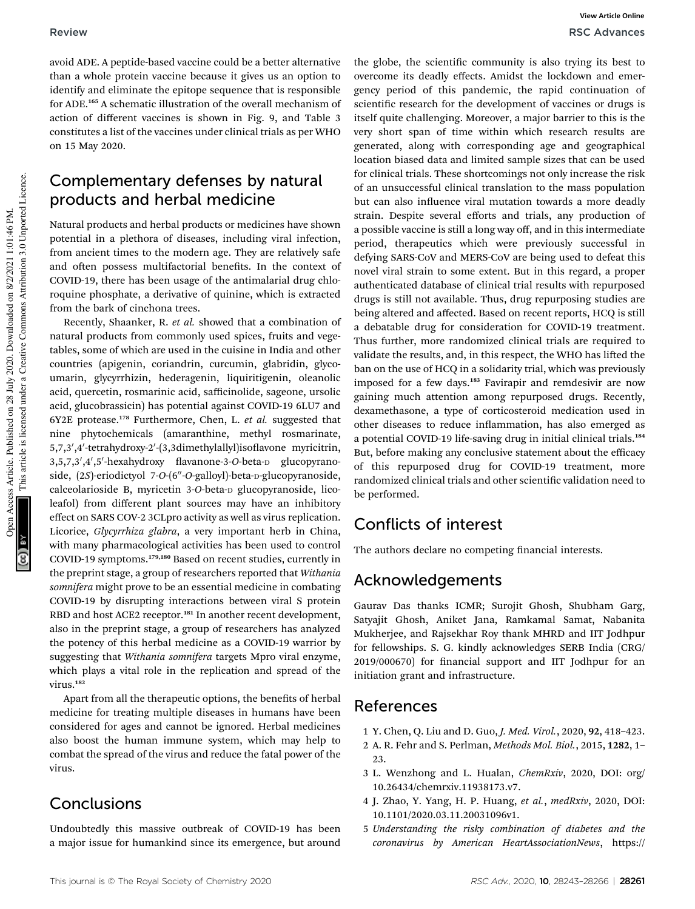avoid ADE. A peptide-based vaccine could be a better alternative than a whole protein vaccine because it gives us an option to identify and eliminate the epitope sequence that is responsible for ADE.<sup>165</sup> A schematic illustration of the overall mechanism of action of different vaccines is shown in Fig. 9, and Table 3 constitutes a list of the vaccines under clinical trials as per WHO on 15 May 2020.

## Complementary defenses by natural products and herbal medicine

Natural products and herbal products or medicines have shown potential in a plethora of diseases, including viral infection, from ancient times to the modern age. They are relatively safe and often possess multifactorial benefits. In the context of COVID-19, there has been usage of the antimalarial drug chloroquine phosphate, a derivative of quinine, which is extracted from the bark of cinchona trees.

Recently, Shaanker, R. *et al.* showed that a combination of natural products from commonly used spices, fruits and vegetables, some of which are used in the cuisine in India and other countries (apigenin, coriandrin, curcumin, glabridin, glycoumarin, glycyrrhizin, hederagenin, liquiritigenin, oleanolic acid, quercetin, rosmarinic acid, safficinolide, sageone, ursolic acid, glucobrassicin) has potential against COVID-19 6LU7 and 6Y2E protease.<sup>178</sup> Furthermore, Chen, L. *et al.* suggested that nine phytochemicals (amaranthine, methyl rosmarinate, 5,7,3',4'-tetrahydroxy-2'-(3,3dimethylallyl)isoflavone myricitrin, 3,5,7,3',4',5'-hexahydroxy flavanone-3-O-beta-D glucopyranoside, (2S)-eriodictyol 7-O-(6"-O-galloyl)-beta-D-glucopyranoside, calceolarioside B, myricetin 3-*O*-beta-<sup>D</sup> glucopyranoside, licoleafol) from different plant sources may have an inhibitory effect on SARS COV-2 3CLpro activity as well as virus replication. Licorice, *Glycyrrhiza glabra*, a very important herb in China, with many pharmacological activities has been used to control COVID-19 symptoms.179,180 Based on recent studies, currently in the preprint stage, a group of researchers reported that *Withania somnifera* might prove to be an essential medicine in combating COVID-19 by disrupting interactions between viral S protein RBD and host ACE2 receptor.<sup>181</sup> In another recent development, also in the preprint stage, a group of researchers has analyzed the potency of this herbal medicine as a COVID-19 warrior by suggesting that *Withania somnifera* targets Mpro viral enzyme, which plays a vital role in the replication and spread of the virus.<sup>182</sup>

Apart from all the therapeutic options, the benefits of herbal medicine for treating multiple diseases in humans have been considered for ages and cannot be ignored. Herbal medicines also boost the human immune system, which may help to combat the spread of the virus and reduce the fatal power of the virus.

### **Conclusions**

Undoubtedly this massive outbreak of COVID-19 has been a major issue for humankind since its emergence, but around

the globe, the scientific community is also trying its best to overcome its deadly effects. Amidst the lockdown and emergency period of this pandemic, the rapid continuation of scientific research for the development of vaccines or drugs is itself quite challenging. Moreover, a major barrier to this is the very short span of time within which research results are generated, along with corresponding age and geographical location biased data and limited sample sizes that can be used for clinical trials. These shortcomings not only increase the risk of an unsuccessful clinical translation to the mass population but can also influence viral mutation towards a more deadly strain. Despite several efforts and trials, any production of a possible vaccine is still a long way off, and in this intermediate period, therapeutics which were previously successful in defying SARS-CoV and MERS-CoV are being used to defeat this novel viral strain to some extent. But in this regard, a proper authenticated database of clinical trial results with repurposed drugs is still not available. Thus, drug repurposing studies are being altered and affected. Based on recent reports, HCQ is still a debatable drug for consideration for COVID-19 treatment. Thus further, more randomized clinical trials are required to validate the results, and, in this respect, the WHO has lifted the ban on the use of HCQ in a solidarity trial, which was previously imposed for a few days.<sup>183</sup> Favirapir and remdesivir are now gaining much attention among repurposed drugs. Recently, dexamethasone, a type of corticosteroid medication used in other diseases to reduce inflammation, has also emerged as a potential COVID-19 life-saving drug in initial clinical trials.<sup>184</sup> But, before making any conclusive statement about the efficacy of this repurposed drug for COVID-19 treatment, more randomized clinical trials and other scientific validation need to be performed.

## Conflicts of interest

The authors declare no competing financial interests.

## Acknowledgements

Gaurav Das thanks ICMR; Surojit Ghosh, Shubham Garg, Satyajit Ghosh, Aniket Jana, Ramkamal Samat, Nabanita Mukherjee, and Rajsekhar Roy thank MHRD and IIT Jodhpur for fellowships. S. G. kindly acknowledges SERB India (CRG/ 2019/000670) for financial support and IIT Jodhpur for an initiation grant and infrastructure.

## References

- 1 Y. Chen, Q. Liu and D. Guo, *J. Med. Virol.*, 2020, 92, 418–423.
- 2 A. R. Fehr and S. Perlman, *Methods Mol. Biol.*, 2015, 1282, 1– 23.
- 3 L. Wenzhong and L. Hualan, *ChemRxiv*, 2020, DOI: org/ 10.26434/chemrxiv.11938173.v7.
- 4 J. Zhao, Y. Yang, H. P. Huang, *et al.*, *medRxiv*, 2020, DOI: 10.1101/2020.03.11.20031096v1.
- 5 *Understanding the risky combination of diabetes and the coronavirus by American HeartAssociationNews*, https://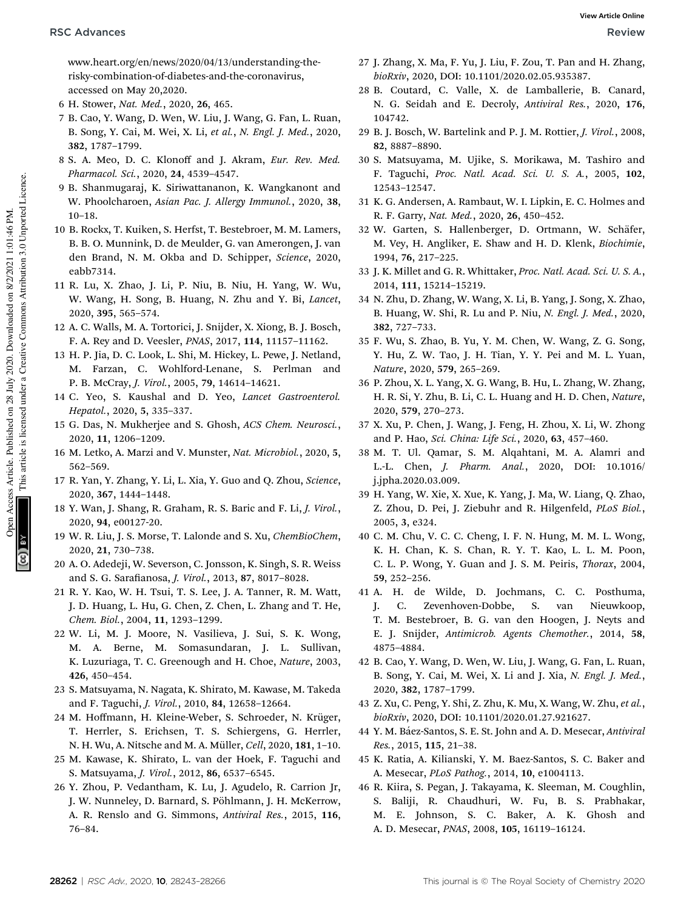www.heart.org/en/news/2020/04/13/understanding-therisky-combination-of-diabetes-and-the-coronavirus, accessed on May 20,2020.

- 6 H. Stower, *Nat. Med.*, 2020, 26, 465.
- 7 B. Cao, Y. Wang, D. Wen, W. Liu, J. Wang, G. Fan, L. Ruan, B. Song, Y. Cai, M. Wei, X. Li, *et al.*, *N. Engl. J. Med.*, 2020, 382, 1787–1799.
- 8 S. A. Meo, D. C. Klonoff and J. Akram, *Eur. Rev. Med. Pharmacol. Sci.*, 2020, 24, 4539–4547.
- 9 B. Shanmugaraj, K. Siriwattananon, K. Wangkanont and W. Phoolcharoen, *Asian Pac. J. Allergy Immunol.*, 2020, 38, 10–18.
- 10 B. Rockx, T. Kuiken, S. Herfst, T. Bestebroer, M. M. Lamers, B. B. O. Munnink, D. de Meulder, G. van Amerongen, J. van den Brand, N. M. Okba and D. Schipper, *Science*, 2020, eabb7314.
- 11 R. Lu, X. Zhao, J. Li, P. Niu, B. Niu, H. Yang, W. Wu, W. Wang, H. Song, B. Huang, N. Zhu and Y. Bi, *Lancet*, 2020, 395, 565–574.
- 12 A. C. Walls, M. A. Tortorici, J. Snijder, X. Xiong, B. J. Bosch, F. A. Rey and D. Veesler, *PNAS*, 2017, 114, 11157–11162.
- 13 H. P. Jia, D. C. Look, L. Shi, M. Hickey, L. Pewe, J. Netland, M. Farzan, C. Wohlford-Lenane, S. Perlman and P. B. McCray, *J. Virol.*, 2005, 79, 14614–14621.
- 14 C. Yeo, S. Kaushal and D. Yeo, *Lancet Gastroenterol. Hepatol.*, 2020, 5, 335–337.
- 15 G. Das, N. Mukherjee and S. Ghosh, *ACS Chem. Neurosci.*, 2020, 11, 1206–1209.
- 16 M. Letko, A. Marzi and V. Munster, *Nat. Microbiol.*, 2020, 5, 562–569.
- 17 R. Yan, Y. Zhang, Y. Li, L. Xia, Y. Guo and Q. Zhou, *Science*, 2020, 367, 1444–1448.
- 18 Y. Wan, J. Shang, R. Graham, R. S. Baric and F. Li, *J. Virol.*, 2020, 94, e00127-20.
- 19 W. R. Liu, J. S. Morse, T. Lalonde and S. Xu, *ChemBioChem*, 2020, 21, 730–738.
- 20 A. O. Adedeji, W. Severson, C. Jonsson, K. Singh, S. R. Weiss and S. G. Sarafianosa, *J. Virol.*, 2013, 87, 8017-8028.
- 21 R. Y. Kao, W. H. Tsui, T. S. Lee, J. A. Tanner, R. M. Watt, J. D. Huang, L. Hu, G. Chen, Z. Chen, L. Zhang and T. He, *Chem. Biol.*, 2004, 11, 1293–1299.
- 22 W. Li, M. J. Moore, N. Vasilieva, J. Sui, S. K. Wong, M. A. Berne, M. Somasundaran, J. L. Sullivan, K. Luzuriaga, T. C. Greenough and H. Choe, *Nature*, 2003, 426, 450–454.
- 23 S. Matsuyama, N. Nagata, K. Shirato, M. Kawase, M. Takeda and F. Taguchi, *J. Virol.*, 2010, 84, 12658–12664.
- 24 M. Hoffmann, H. Kleine-Weber, S. Schroeder, N. Krüger, T. Herrler, S. Erichsen, T. S. Schiergens, G. Herrler, N. H. Wu, A. Nitsche and M. A. Müller, *Cell*, 2020, 181, 1-10.
- 25 M. Kawase, K. Shirato, L. van der Hoek, F. Taguchi and S. Matsuyama, *J. Virol.*, 2012, 86, 6537–6545.
- 26 Y. Zhou, P. Vedantham, K. Lu, J. Agudelo, R. Carrion Jr, J. W. Nunneley, D. Barnard, S. Pöhlmann, J. H. McKerrow, A. R. Renslo and G. Simmons, *Antiviral Res.*, 2015, 116, 76–84.
- 27 J. Zhang, X. Ma, F. Yu, J. Liu, F. Zou, T. Pan and H. Zhang, *bioRxiv*, 2020, DOI: 10.1101/2020.02.05.935387.
- 28 B. Coutard, C. Valle, X. de Lamballerie, B. Canard, N. G. Seidah and E. Decroly, *Antiviral Res.*, 2020, 176, 104742.
- 29 B. J. Bosch, W. Bartelink and P. J. M. Rottier, *J. Virol.*, 2008, 82, 8887–8890.
- 30 S. Matsuyama, M. Ujike, S. Morikawa, M. Tashiro and F. Taguchi, *Proc. Natl. Acad. Sci. U. S. A.*, 2005, 102, 12543–12547.
- 31 K. G. Andersen, A. Rambaut, W. I. Lipkin, E. C. Holmes and R. F. Garry, *Nat. Med.*, 2020, 26, 450–452.
- 32 W. Garten, S. Hallenberger, D. Ortmann, W. Schäfer, M. Vey, H. Angliker, E. Shaw and H. D. Klenk, *Biochimie*, 1994, 76, 217–225.
- 33 J. K. Millet and G. R. Whittaker, *Proc. Natl. Acad. Sci. U. S. A.*, 2014, 111, 15214–15219.
- 34 N. Zhu, D. Zhang, W. Wang, X. Li, B. Yang, J. Song, X. Zhao, B. Huang, W. Shi, R. Lu and P. Niu, *N. Engl. J. Med.*, 2020, 382, 727–733.
- 35 F. Wu, S. Zhao, B. Yu, Y. M. Chen, W. Wang, Z. G. Song, Y. Hu, Z. W. Tao, J. H. Tian, Y. Y. Pei and M. L. Yuan, *Nature*, 2020, 579, 265–269.
- 36 P. Zhou, X. L. Yang, X. G. Wang, B. Hu, L. Zhang, W. Zhang, H. R. Si, Y. Zhu, B. Li, C. L. Huang and H. D. Chen, *Nature*, 2020, 579, 270–273.
- 37 X. Xu, P. Chen, J. Wang, J. Feng, H. Zhou, X. Li, W. Zhong and P. Hao, *Sci. China: Life Sci.*, 2020, 63, 457–460.
- 38 M. T. Ul. Qamar, S. M. Alqahtani, M. A. Alamri and L.-L. Chen, *J. Pharm. Anal.*, 2020, DOI: 10.1016/ j.jpha.2020.03.009.
- 39 H. Yang, W. Xie, X. Xue, K. Yang, J. Ma, W. Liang, Q. Zhao, Z. Zhou, D. Pei, J. Ziebuhr and R. Hilgenfeld, *PLoS Biol.*, 2005, 3, e324.
- 40 C. M. Chu, V. C. C. Cheng, I. F. N. Hung, M. M. L. Wong, K. H. Chan, K. S. Chan, R. Y. T. Kao, L. L. M. Poon, C. L. P. Wong, Y. Guan and J. S. M. Peiris, *Thorax*, 2004, 59, 252–256.
- 41 A. H. de Wilde, D. Jochmans, C. C. Posthuma, J. C. Zevenhoven-Dobbe, S. van Nieuwkoop, T. M. Bestebroer, B. G. van den Hoogen, J. Neyts and E. J. Snijder, *Antimicrob. Agents Chemother.*, 2014, 58, 4875–4884.
- 42 B. Cao, Y. Wang, D. Wen, W. Liu, J. Wang, G. Fan, L. Ruan, B. Song, Y. Cai, M. Wei, X. Li and J. Xia, *N. Engl. J. Med.*, 2020, 382, 1787–1799.
- 43 Z. Xu, C. Peng, Y. Shi, Z. Zhu, K. Mu, X. Wang, W. Zhu, *et al.*, *bioRxiv*, 2020, DOI: 10.1101/2020.01.27.921627.
- 44 Y. M. Báez-Santos, S. E. St. John and A. D. Mesecar, *Antiviral Res.*, 2015, 115, 21–38.
- 45 K. Ratia, A. Kilianski, Y. M. Baez-Santos, S. C. Baker and A. Mesecar, *PLoS Pathog.*, 2014, 10, e1004113.
- 46 R. Kiira, S. Pegan, J. Takayama, K. Sleeman, M. Coughlin, S. Baliji, R. Chaudhuri, W. Fu, B. S. Prabhakar, M. E. Johnson, S. C. Baker, A. K. Ghosh and A. D. Mesecar, *PNAS*, 2008, 105, 16119–16124.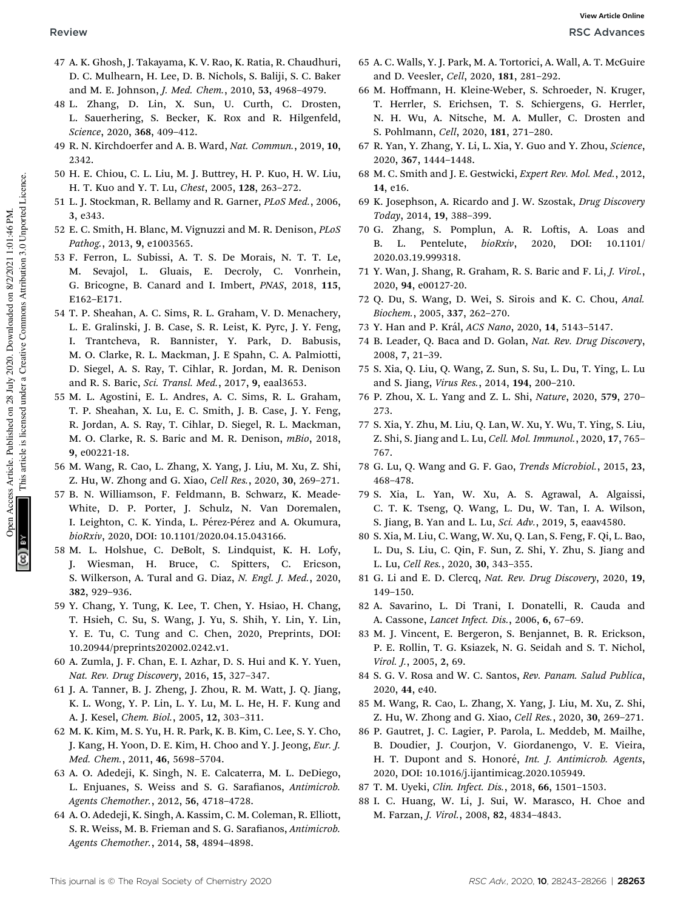- 47 A. K. Ghosh, J. Takayama, K. V. Rao, K. Ratia, R. Chaudhuri, D. C. Mulhearn, H. Lee, D. B. Nichols, S. Baliji, S. C. Baker and M. E. Johnson, *J. Med. Chem.*, 2010, 53, 4968–4979.
- 48 L. Zhang, D. Lin, X. Sun, U. Curth, C. Drosten, L. Sauerhering, S. Becker, K. Rox and R. Hilgenfeld, *Science*, 2020, 368, 409–412.
- 49 R. N. Kirchdoerfer and A. B. Ward, *Nat. Commun.*, 2019, 10, 2342.
- 50 H. E. Chiou, C. L. Liu, M. J. Buttrey, H. P. Kuo, H. W. Liu, H. T. Kuo and Y. T. Lu, *Chest*, 2005, 128, 263–272.
- 51 L. J. Stockman, R. Bellamy and R. Garner, *PLoS Med.*, 2006, 3, e343.
- 52 E. C. Smith, H. Blanc, M. Vignuzzi and M. R. Denison, *PLoS Pathog.*, 2013, 9, e1003565.
- 53 F. Ferron, L. Subissi, A. T. S. De Morais, N. T. T. Le, M. Sevajol, L. Gluais, E. Decroly, C. Vonrhein, G. Bricogne, B. Canard and I. Imbert, *PNAS*, 2018, 115, E162–E171.
- 54 T. P. Sheahan, A. C. Sims, R. L. Graham, V. D. Menachery, L. E. Gralinski, J. B. Case, S. R. Leist, K. Pyrc, J. Y. Feng, I. Trantcheva, R. Bannister, Y. Park, D. Babusis, M. O. Clarke, R. L. Mackman, J. E Spahn, C. A. Palmiotti, D. Siegel, A. S. Ray, T. Cihlar, R. Jordan, M. R. Denison and R. S. Baric, *Sci. Transl. Med.*, 2017, 9, eaal3653.
- 55 M. L. Agostini, E. L. Andres, A. C. Sims, R. L. Graham, T. P. Sheahan, X. Lu, E. C. Smith, J. B. Case, J. Y. Feng, R. Jordan, A. S. Ray, T. Cihlar, D. Siegel, R. L. Mackman, M. O. Clarke, R. S. Baric and M. R. Denison, *mBio*, 2018, 9, e00221-18.
- 56 M. Wang, R. Cao, L. Zhang, X. Yang, J. Liu, M. Xu, Z. Shi, Z. Hu, W. Zhong and G. Xiao, *Cell Res.*, 2020, 30, 269–271.
- 57 B. N. Williamson, F. Feldmann, B. Schwarz, K. Meade-White, D. P. Porter, J. Schulz, N. Van Doremalen, I. Leighton, C. K. Yinda, L. Pérez-Pérez and A. Okumura, *bioRxiv*, 2020, DOI: 10.1101/2020.04.15.043166.
- 58 M. L. Holshue, C. DeBolt, S. Lindquist, K. H. Lofy, J. Wiesman, H. Bruce, C. Spitters, C. Ericson, S. Wilkerson, A. Tural and G. Diaz, *N. Engl. J. Med.*, 2020, 382, 929–936.
- 59 Y. Chang, Y. Tung, K. Lee, T. Chen, Y. Hsiao, H. Chang, T. Hsieh, C. Su, S. Wang, J. Yu, S. Shih, Y. Lin, Y. Lin, Y. E. Tu, C. Tung and C. Chen, 2020, Preprints, DOI: 10.20944/preprints202002.0242.v1.
- 60 A. Zumla, J. F. Chan, E. I. Azhar, D. S. Hui and K. Y. Yuen, *Nat. Rev. Drug Discovery*, 2016, 15, 327–347.
- 61 J. A. Tanner, B. J. Zheng, J. Zhou, R. M. Watt, J. Q. Jiang, K. L. Wong, Y. P. Lin, L. Y. Lu, M. L. He, H. F. Kung and A. J. Kesel, *Chem. Biol.*, 2005, 12, 303–311.
- 62 M. K. Kim, M. S. Yu, H. R. Park, K. B. Kim, C. Lee, S. Y. Cho, J. Kang, H. Yoon, D. E. Kim, H. Choo and Y. J. Jeong, *Eur. J. Med. Chem.*, 2011, 46, 5698–5704.
- 63 A. O. Adedeji, K. Singh, N. E. Calcaterra, M. L. DeDiego, L. Enjuanes, S. Weiss and S. G. Sarafianos, *Antimicrob. Agents Chemother.*, 2012, 56, 4718–4728.
- 64 A. O. Adedeji, K. Singh, A. Kassim, C. M. Coleman, R. Elliott, S. R. Weiss, M. B. Frieman and S. G. Sarafianos, Antimicrob. *Agents Chemother.*, 2014, 58, 4894–4898.
- 65 A. C. Walls, Y. J. Park, M. A. Tortorici, A. Wall, A. T. McGuire and D. Veesler, *Cell*, 2020, 181, 281–292.
- 66 M. Hoffmann, H. Kleine-Weber, S. Schroeder, N. Kruger, T. Herrler, S. Erichsen, T. S. Schiergens, G. Herrler, N. H. Wu, A. Nitsche, M. A. Muller, C. Drosten and S. Pohlmann, *Cell*, 2020, 181, 271–280.
- 67 R. Yan, Y. Zhang, Y. Li, L. Xia, Y. Guo and Y. Zhou, *Science*, 2020, 367, 1444–1448.
- 68 M. C. Smith and J. E. Gestwicki, *Expert Rev. Mol. Med.*, 2012, 14, e16.
- 69 K. Josephson, A. Ricardo and J. W. Szostak, *Drug Discovery Today*, 2014, 19, 388–399.
- 70 G. Zhang, S. Pomplun, A. R. Loftis, A. Loas and B. L. Pentelute, *bioRxiv*, 2020, DOI: 10.1101/ 2020.03.19.999318.
- 71 Y. Wan, J. Shang, R. Graham, R. S. Baric and F. Li, *J. Virol.*, 2020, 94, e00127-20.
- 72 Q. Du, S. Wang, D. Wei, S. Sirois and K. C. Chou, *Anal. Biochem.*, 2005, 337, 262–270.
- 73 Y. Han and P. Kr´al, *ACS Nano*, 2020, 14, 5143–5147.
- 74 B. Leader, Q. Baca and D. Golan, *Nat. Rev. Drug Discovery*, 2008, 7, 21–39.
- 75 S. Xia, Q. Liu, Q. Wang, Z. Sun, S. Su, L. Du, T. Ying, L. Lu and S. Jiang, *Virus Res.*, 2014, 194, 200–210.
- 76 P. Zhou, X. L. Yang and Z. L. Shi, *Nature*, 2020, 579, 270– 273.
- 77 S. Xia, Y. Zhu, M. Liu, Q. Lan, W. Xu, Y. Wu, T. Ying, S. Liu, Z. Shi, S. Jiang and L. Lu, *Cell. Mol. Immunol.*, 2020, 17, 765– 767.
- 78 G. Lu, Q. Wang and G. F. Gao, *Trends Microbiol.*, 2015, 23, 468–478.
- 79 S. Xia, L. Yan, W. Xu, A. S. Agrawal, A. Algaissi, C. T. K. Tseng, Q. Wang, L. Du, W. Tan, I. A. Wilson, S. Jiang, B. Yan and L. Lu, *Sci. Adv.*, 2019, 5, eaav4580.
- 80 S. Xia, M. Liu, C. Wang, W. Xu, Q. Lan, S. Feng, F. Qi, L. Bao, L. Du, S. Liu, C. Qin, F. Sun, Z. Shi, Y. Zhu, S. Jiang and L. Lu, *Cell Res.*, 2020, 30, 343–355.
- 81 G. Li and E. D. Clercq, *Nat. Rev. Drug Discovery*, 2020, 19, 149–150.
- 82 A. Savarino, L. Di Trani, I. Donatelli, R. Cauda and A. Cassone, *Lancet Infect. Dis.*, 2006, 6, 67–69.
- 83 M. J. Vincent, E. Bergeron, S. Benjannet, B. R. Erickson, P. E. Rollin, T. G. Ksiazek, N. G. Seidah and S. T. Nichol, *Virol. J.*, 2005, 2, 69.
- 84 S. G. V. Rosa and W. C. Santos, *Rev. Panam. Salud Publica*, 2020, 44, e40.
- 85 M. Wang, R. Cao, L. Zhang, X. Yang, J. Liu, M. Xu, Z. Shi, Z. Hu, W. Zhong and G. Xiao, *Cell Res.*, 2020, 30, 269–271.
- 86 P. Gautret, J. C. Lagier, P. Parola, L. Meddeb, M. Mailhe, B. Doudier, J. Courjon, V. Giordanengo, V. E. Vieira, H. T. Dupont and S. Honor´e, *Int. J. Antimicrob. Agents*, 2020, DOI: 10.1016/j.ijantimicag.2020.105949.
- 87 T. M. Uyeki, *Clin. Infect. Dis.*, 2018, 66, 1501–1503.
- 88 I. C. Huang, W. Li, J. Sui, W. Marasco, H. Choe and M. Farzan, *J. Virol.*, 2008, 82, 4834–4843.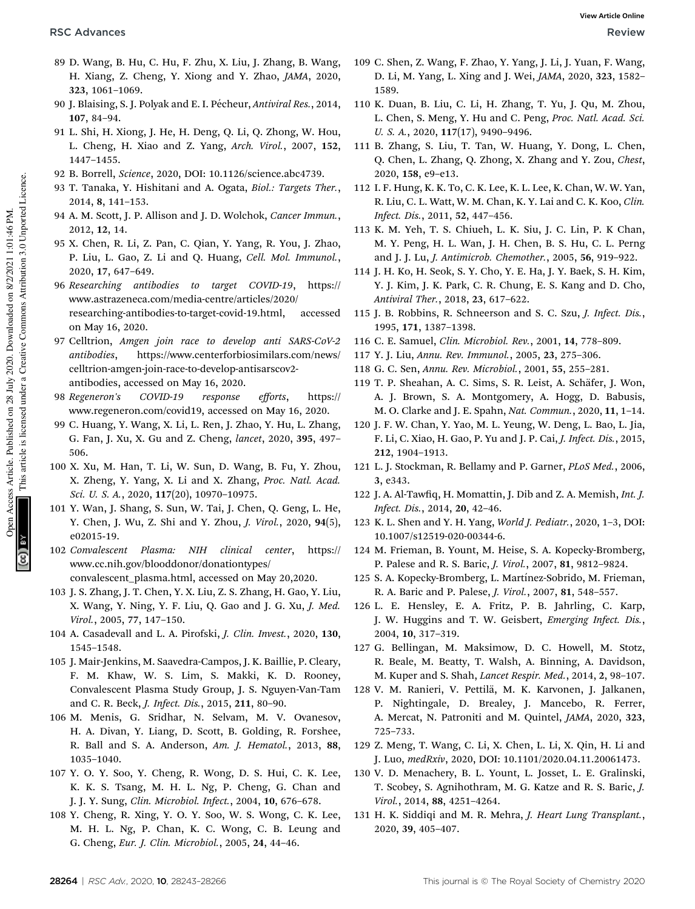- 89 D. Wang, B. Hu, C. Hu, F. Zhu, X. Liu, J. Zhang, B. Wang, H. Xiang, Z. Cheng, Y. Xiong and Y. Zhao, *JAMA*, 2020, 323, 1061–1069.
- 90 J. Blaising, S. J. Polyak and E. I. Pécheur, *Antiviral Res.*, 2014, 107, 84–94.
- 91 L. Shi, H. Xiong, J. He, H. Deng, Q. Li, Q. Zhong, W. Hou, L. Cheng, H. Xiao and Z. Yang, *Arch. Virol.*, 2007, 152, 1447–1455.
- 92 B. Borrell, *Science*, 2020, DOI: 10.1126/science.abc4739.
- 93 T. Tanaka, Y. Hishitani and A. Ogata, *Biol.: Targets Ther.*, 2014, 8, 141–153.
- 94 A. M. Scott, J. P. Allison and J. D. Wolchok, *Cancer Immun.*, 2012, 12, 14.
- 95 X. Chen, R. Li, Z. Pan, C. Qian, Y. Yang, R. You, J. Zhao, P. Liu, L. Gao, Z. Li and Q. Huang, *Cell. Mol. Immunol.*, 2020, 17, 647–649.
- 96 *Researching antibodies to target COVID-19*, https:// www.astrazeneca.com/media-centre/articles/2020/ researching-antibodies-to-target-covid-19.html, accessed on May 16, 2020.
- 97 Celltrion, *Amgen join race to develop anti SARS-CoV-2 antibodies*, https://www.centerforbiosimilars.com/news/ celltrion-amgen-join-race-to-develop-antisarscov2 antibodies, accessed on May 16, 2020.
- 98 *Regeneron's COVID-19 response e*ff*orts*, https:// www.regeneron.com/covid19, accessed on May 16, 2020.
- 99 C. Huang, Y. Wang, X. Li, L. Ren, J. Zhao, Y. Hu, L. Zhang, G. Fan, J. Xu, X. Gu and Z. Cheng, *lancet*, 2020, 395, 497– 506.
- 100 X. Xu, M. Han, T. Li, W. Sun, D. Wang, B. Fu, Y. Zhou, X. Zheng, Y. Yang, X. Li and X. Zhang, *Proc. Natl. Acad. Sci. U. S. A.*, 2020, 117(20), 10970–10975.
- 101 Y. Wan, J. Shang, S. Sun, W. Tai, J. Chen, Q. Geng, L. He, Y. Chen, J. Wu, Z. Shi and Y. Zhou, *J. Virol.*, 2020, 94(5), e02015-19.
- 102 *Convalescent Plasma: NIH clinical center*, https:// www.cc.nih.gov/blooddonor/donationtypes/ convalescent\_plasma.html, accessed on May 20,2020.
- 103 J. S. Zhang, J. T. Chen, Y. X. Liu, Z. S. Zhang, H. Gao, Y. Liu, X. Wang, Y. Ning, Y. F. Liu, Q. Gao and J. G. Xu, *J. Med. Virol.*, 2005, 77, 147–150.
- 104 A. Casadevall and L. A. Pirofski, *J. Clin. Invest.*, 2020, 130, 1545–1548.
- 105 J. Mair-Jenkins, M. Saavedra-Campos, J. K. Baillie, P. Cleary, F. M. Khaw, W. S. Lim, S. Makki, K. D. Rooney, Convalescent Plasma Study Group, J. S. Nguyen-Van-Tam and C. R. Beck, *J. Infect. Dis.*, 2015, 211, 80–90.
- 106 M. Menis, G. Sridhar, N. Selvam, M. V. Ovanesov, H. A. Divan, Y. Liang, D. Scott, B. Golding, R. Forshee, R. Ball and S. A. Anderson, *Am. J. Hematol.*, 2013, 88, 1035–1040.
- 107 Y. O. Y. Soo, Y. Cheng, R. Wong, D. S. Hui, C. K. Lee, K. K. S. Tsang, M. H. L. Ng, P. Cheng, G. Chan and J. J. Y. Sung, *Clin. Microbiol. Infect.*, 2004, 10, 676–678.
- 108 Y. Cheng, R. Xing, Y. O. Y. Soo, W. S. Wong, C. K. Lee, M. H. L. Ng, P. Chan, K. C. Wong, C. B. Leung and G. Cheng, *Eur. J. Clin. Microbiol.*, 2005, 24, 44–46.
- 109 C. Shen, Z. Wang, F. Zhao, Y. Yang, J. Li, J. Yuan, F. Wang, D. Li, M. Yang, L. Xing and J. Wei, *JAMA*, 2020, 323, 1582– 1589.
- 110 K. Duan, B. Liu, C. Li, H. Zhang, T. Yu, J. Qu, M. Zhou, L. Chen, S. Meng, Y. Hu and C. Peng, *Proc. Natl. Acad. Sci. U. S. A.*, 2020, 117(17), 9490–9496.
- 111 B. Zhang, S. Liu, T. Tan, W. Huang, Y. Dong, L. Chen, Q. Chen, L. Zhang, Q. Zhong, X. Zhang and Y. Zou, *Chest*, 2020, 158, e9–e13.
- 112 I. F. Hung, K. K. To, C. K. Lee, K. L. Lee, K. Chan, W. W. Yan, R. Liu, C. L. Watt, W. M. Chan, K. Y. Lai and C. K. Koo, *Clin. Infect. Dis.*, 2011, 52, 447–456.
- 113 K. M. Yeh, T. S. Chiueh, L. K. Siu, J. C. Lin, P. K Chan, M. Y. Peng, H. L. Wan, J. H. Chen, B. S. Hu, C. L. Perng and J. J. Lu, *J. Antimicrob. Chemother.*, 2005, 56, 919–922.
- 114 J. H. Ko, H. Seok, S. Y. Cho, Y. E. Ha, J. Y. Baek, S. H. Kim, Y. J. Kim, J. K. Park, C. R. Chung, E. S. Kang and D. Cho, *Antiviral Ther.*, 2018, 23, 617–622.
- 115 J. B. Robbins, R. Schneerson and S. C. Szu, *J. Infect. Dis.*, 1995, 171, 1387–1398.
- 116 C. E. Samuel, *Clin. Microbiol. Rev.*, 2001, 14, 778–809.
- 117 Y. J. Liu, *Annu. Rev. Immunol.*, 2005, 23, 275–306.
- 118 G. C. Sen, *Annu. Rev. Microbiol.*, 2001, 55, 255–281.
- 119 T. P. Sheahan, A. C. Sims, S. R. Leist, A. Schäfer, J. Won, A. J. Brown, S. A. Montgomery, A. Hogg, D. Babusis, M. O. Clarke and J. E. Spahn, *Nat. Commun.*, 2020, 11, 1–14.
- 120 J. F. W. Chan, Y. Yao, M. L. Yeung, W. Deng, L. Bao, L. Jia, F. Li, C. Xiao, H. Gao, P. Yu and J. P. Cai, *J. Infect. Dis.*, 2015, 212, 1904–1913.
- 121 L. J. Stockman, R. Bellamy and P. Garner, *PLoS Med.*, 2006, 3, e343.
- 122 J. A. Al-Tawfiq, H. Momattin, J. Dib and Z. A. Memish, *Int. J. Infect. Dis.*, 2014, 20, 42–46.
- 123 K. L. Shen and Y. H. Yang, *World J. Pediatr.*, 2020, 1–3, DOI: 10.1007/s12519-020-00344-6.
- 124 M. Frieman, B. Yount, M. Heise, S. A. Kopecky-Bromberg, P. Palese and R. S. Baric, *J. Virol.*, 2007, 81, 9812–9824.
- 125 S. A. Kopecky-Bromberg, L. Martínez-Sobrido, M. Frieman, R. A. Baric and P. Palese, *J. Virol.*, 2007, 81, 548–557.
- 126 L. E. Hensley, E. A. Fritz, P. B. Jahrling, C. Karp, J. W. Huggins and T. W. Geisbert, *Emerging Infect. Dis.*, 2004, 10, 317–319.
- 127 G. Bellingan, M. Maksimow, D. C. Howell, M. Stotz, R. Beale, M. Beatty, T. Walsh, A. Binning, A. Davidson, M. Kuper and S. Shah, *Lancet Respir. Med.*, 2014, 2, 98–107.
- 128 V. M. Ranieri, V. Pettilä, M. K. Karvonen, J. Jalkanen, P. Nightingale, D. Brealey, J. Mancebo, R. Ferrer, A. Mercat, N. Patroniti and M. Quintel, *JAMA*, 2020, 323, 725–733.
- 129 Z. Meng, T. Wang, C. Li, X. Chen, L. Li, X. Qin, H. Li and J. Luo, *medRxiv*, 2020, DOI: 10.1101/2020.04.11.20061473.
- 130 V. D. Menachery, B. L. Yount, L. Josset, L. E. Gralinski, T. Scobey, S. Agnihothram, M. G. Katze and R. S. Baric, *J. Virol.*, 2014, 88, 4251–4264.
- 131 H. K. Siddiqi and M. R. Mehra, *J. Heart Lung Transplant.*, 2020, 39, 405–407.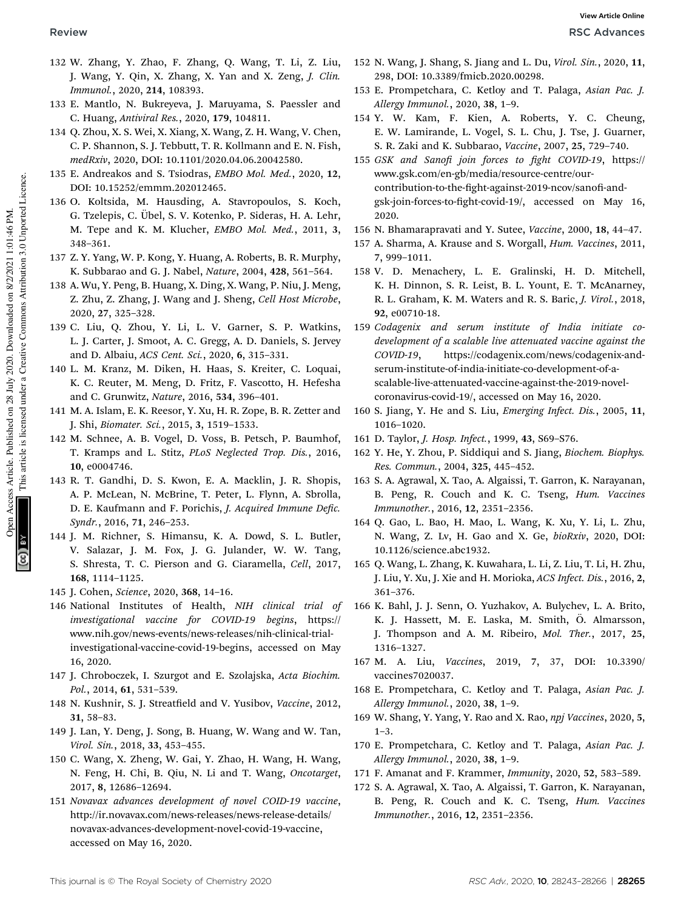- 132 W. Zhang, Y. Zhao, F. Zhang, Q. Wang, T. Li, Z. Liu, J. Wang, Y. Qin, X. Zhang, X. Yan and X. Zeng, *J. Clin. Immunol.*, 2020, 214, 108393.
- 133 E. Mantlo, N. Bukreyeva, J. Maruyama, S. Paessler and C. Huang, *Antiviral Res.*, 2020, 179, 104811.
- 134 Q. Zhou, X. S. Wei, X. Xiang, X. Wang, Z. H. Wang, V. Chen, C. P. Shannon, S. J. Tebbutt, T. R. Kollmann and E. N. Fish, *medRxiv*, 2020, DOI: 10.1101/2020.04.06.20042580.
- 135 E. Andreakos and S. Tsiodras, *EMBO Mol. Med.*, 2020, 12, DOI: 10.15252/emmm.202012465.
- 136 O. Koltsida, M. Hausding, A. Stavropoulos, S. Koch, G. Tzelepis, C. Übel, S. V. Kotenko, P. Sideras, H. A. Lehr, M. Tepe and K. M. Klucher, *EMBO Mol. Med.*, 2011, 3, 348–361.
- 137 Z. Y. Yang, W. P. Kong, Y. Huang, A. Roberts, B. R. Murphy, K. Subbarao and G. J. Nabel, *Nature*, 2004, 428, 561–564.
- 138 A. Wu, Y. Peng, B. Huang, X. Ding, X. Wang, P. Niu, J. Meng, Z. Zhu, Z. Zhang, J. Wang and J. Sheng, *Cell Host Microbe*, 2020, 27, 325–328.
- 139 C. Liu, Q. Zhou, Y. Li, L. V. Garner, S. P. Watkins, L. J. Carter, J. Smoot, A. C. Gregg, A. D. Daniels, S. Jervey and D. Albaiu, *ACS Cent. Sci.*, 2020, 6, 315–331.
- 140 L. M. Kranz, M. Diken, H. Haas, S. Kreiter, C. Loquai, K. C. Reuter, M. Meng, D. Fritz, F. Vascotto, H. Hefesha and C. Grunwitz, *Nature*, 2016, 534, 396–401.
- 141 M. A. Islam, E. K. Reesor, Y. Xu, H. R. Zope, B. R. Zetter and J. Shi, *Biomater. Sci.*, 2015, 3, 1519–1533.
- 142 M. Schnee, A. B. Vogel, D. Voss, B. Petsch, P. Baumhof, T. Kramps and L. Stitz, *PLoS Neglected Trop. Dis.*, 2016, 10, e0004746.
- 143 R. T. Gandhi, D. S. Kwon, E. A. Macklin, J. R. Shopis, A. P. McLean, N. McBrine, T. Peter, L. Flynn, A. Sbrolla, D. E. Kaufmann and F. Porichis, *J. Acquired Immune Dec. Syndr.*, 2016, 71, 246–253.
- 144 J. M. Richner, S. Himansu, K. A. Dowd, S. L. Butler, V. Salazar, J. M. Fox, J. G. Julander, W. W. Tang, S. Shresta, T. C. Pierson and G. Ciaramella, *Cell*, 2017, 168, 1114–1125.
- 145 J. Cohen, *Science*, 2020, 368, 14–16.
- 146 National Institutes of Health, *NIH clinical trial of investigational vaccine for COVID-19 begins*, https:// www.nih.gov/news-events/news-releases/nih-clinical-trialinvestigational-vaccine-covid-19-begins, accessed on May 16, 2020.
- 147 J. Chroboczek, I. Szurgot and E. Szolajska, *Acta Biochim. Pol.*, 2014, 61, 531–539.
- 148 N. Kushnir, S. J. Streatfield and V. Yusibov, Vaccine, 2012, 31, 58–83.
- 149 J. Lan, Y. Deng, J. Song, B. Huang, W. Wang and W. Tan, *Virol. Sin.*, 2018, 33, 453–455.
- 150 C. Wang, X. Zheng, W. Gai, Y. Zhao, H. Wang, H. Wang, N. Feng, H. Chi, B. Qiu, N. Li and T. Wang, *Oncotarget*, 2017, 8, 12686–12694.
- 151 *Novavax advances development of novel COID-19 vaccine*, http://ir.novavax.com/news-releases/news-release-details/ novavax-advances-development-novel-covid-19-vaccine, accessed on May 16, 2020.
- 152 N. Wang, J. Shang, S. Jiang and L. Du, *Virol. Sin.*, 2020, 11, 298, DOI: 10.3389/fmicb.2020.00298.
- 153 E. Prompetchara, C. Ketloy and T. Palaga, *Asian Pac. J. Allergy Immunol.*, 2020, 38, 1–9.
- 154 Y. W. Kam, F. Kien, A. Roberts, Y. C. Cheung, E. W. Lamirande, L. Vogel, S. L. Chu, J. Tse, J. Guarner, S. R. Zaki and K. Subbarao, *Vaccine*, 2007, 25, 729–740.
- 155 *GSK and Sanofi join forces to fight COVID-19*, https:// www.gsk.com/en-gb/media/resource-centre/ourcontribution-to-the-fight-against-2019-ncov/sanofi-andgsk-join-forces-to-fight-covid-19/, accessed on May 16, 2020.
- 156 N. Bhamarapravati and Y. Sutee, *Vaccine*, 2000, 18, 44–47.
- 157 A. Sharma, A. Krause and S. Worgall, *Hum. Vaccines*, 2011, 7, 999–1011.
- 158 V. D. Menachery, L. E. Gralinski, H. D. Mitchell, K. H. Dinnon, S. R. Leist, B. L. Yount, E. T. McAnarney, R. L. Graham, K. M. Waters and R. S. Baric, *J. Virol.*, 2018, 92, e00710-18.
- 159 *Codagenix and serum institute of India initiate codevelopment of a scalable live attenuated vaccine against the COVID-19*, https://codagenix.com/news/codagenix-andserum-institute-of-india-initiate-co-development-of-ascalable-live-attenuated-vaccine-against-the-2019-novelcoronavirus-covid-19/, accessed on May 16, 2020.
- 160 S. Jiang, Y. He and S. Liu, *Emerging Infect. Dis.*, 2005, 11, 1016–1020.
- 161 D. Taylor, *J. Hosp. Infect.*, 1999, 43, S69–S76.
- 162 Y. He, Y. Zhou, P. Siddiqui and S. Jiang, *Biochem. Biophys. Res. Commun.*, 2004, 325, 445–452.
- 163 S. A. Agrawal, X. Tao, A. Algaissi, T. Garron, K. Narayanan, B. Peng, R. Couch and K. C. Tseng, *Hum. Vaccines Immunother.*, 2016, 12, 2351–2356.
- 164 Q. Gao, L. Bao, H. Mao, L. Wang, K. Xu, Y. Li, L. Zhu, N. Wang, Z. Lv, H. Gao and X. Ge, *bioRxiv*, 2020, DOI: 10.1126/science.abc1932.
- 165 Q. Wang, L. Zhang, K. Kuwahara, L. Li, Z. Liu, T. Li, H. Zhu, J. Liu, Y. Xu, J. Xie and H. Morioka, *ACS Infect. Dis.*, 2016, 2, 361–376.
- 166 K. Bahl, J. J. Senn, O. Yuzhakov, A. Bulychev, L. A. Brito, K. J. Hassett, M. E. Laska, M. Smith, Ö. Almarsson, J. Thompson and A. M. Ribeiro, *Mol. Ther.*, 2017, 25, 1316–1327.
- 167 M. A. Liu, *Vaccines*, 2019, 7, 37, DOI: 10.3390/ vaccines7020037.
- 168 E. Prompetchara, C. Ketloy and T. Palaga, *Asian Pac. J. Allergy Immunol.*, 2020, 38, 1–9.
- 169 W. Shang, Y. Yang, Y. Rao and X. Rao, *npj Vaccines*, 2020, 5, 1–3.
- 170 E. Prompetchara, C. Ketloy and T. Palaga, *Asian Pac. J. Allergy Immunol.*, 2020, 38, 1–9.
- 171 F. Amanat and F. Krammer, *Immunity*, 2020, 52, 583–589.
- 172 S. A. Agrawal, X. Tao, A. Algaissi, T. Garron, K. Narayanan, B. Peng, R. Couch and K. C. Tseng, *Hum. Vaccines Immunother.*, 2016, 12, 2351–2356.